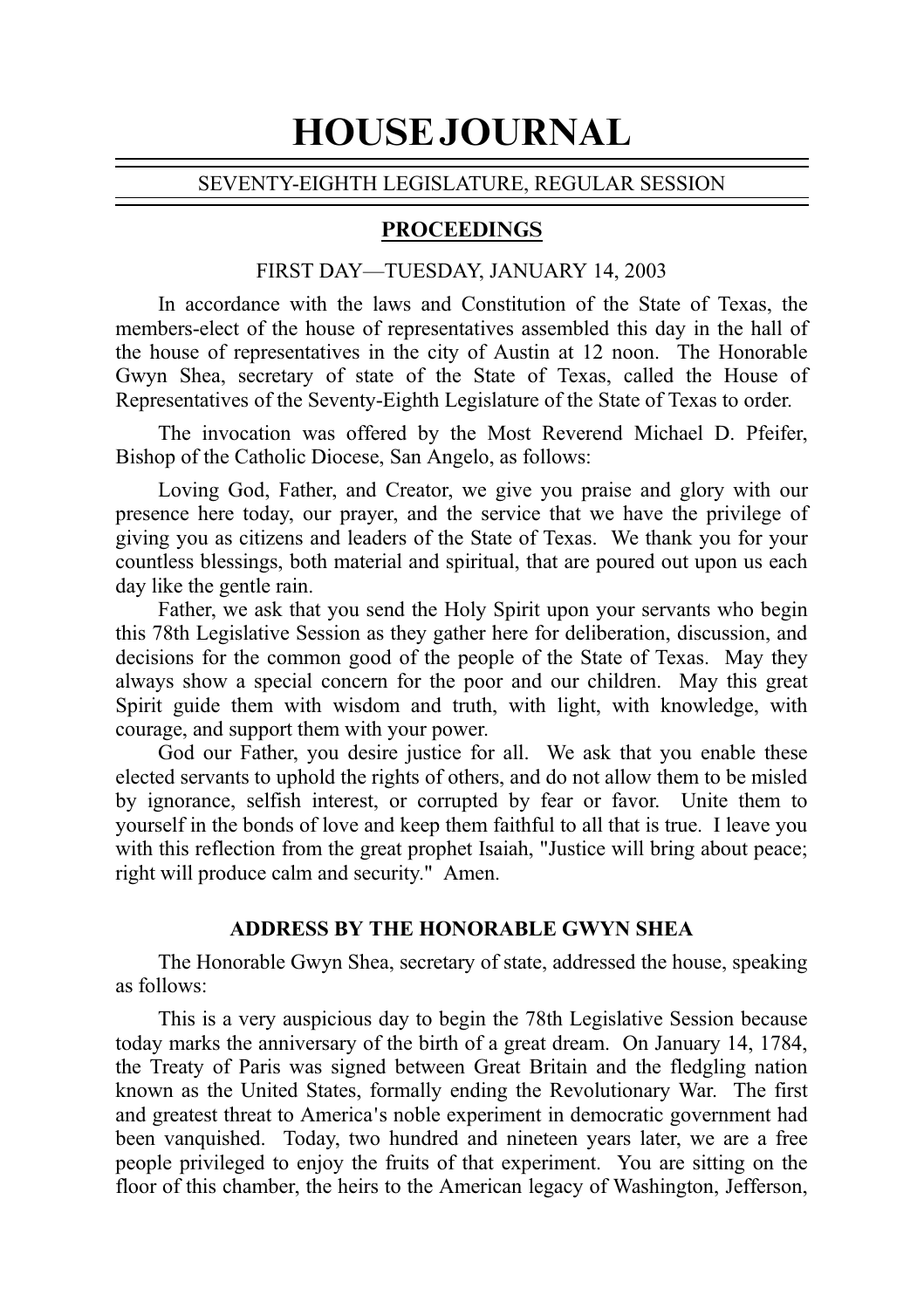# HOUSE JOURNAL

#### SEVENTY-EIGHTH LEGISLATURE, REGULAR SESSION

# PROCEEDINGS

# FIRST DAY—TUESDAY, JANUARY 14, 2003

In accordance with the laws and Constitution of the State of Texas, the members-elect of the house of representatives assembled this day in the hall of the house of representatives in the city of Austin at 12 noon. The Honorable Gwyn Shea, secretary of state of the State of Texas, called the House of Representatives of the Seventy-Eighth Legislature of the State of Texas to order.

The invocation was offered by the Most Reverend Michael D. Pfeifer, Bishop of the Catholic Diocese, San Angelo, as follows:

Loving God, Father, and Creator, we give you praise and glory with our presence here today, our prayer, and the service that we have the privilege of giving you as citizens and leaders of the State of Texas. We thank you for your countless blessings, both material and spiritual, that are poured out upon us each day like the gentle rain.

Father, we ask that you send the Holy Spirit upon your servants who begin this 78th Legislative Session as they gather here for deliberation, discussion, and decisions for the common good of the people of the State of Texas. May they always show a special concern for the poor and our children. May this great Spirit guide them with wisdom and truth, with light, with knowledge, with courage, and support them with your power.

God our Father, you desire justice for all. We ask that you enable these elected servants to uphold the rights of others, and do not allow them to be misled by ignorance, selfish interest, or corrupted by fear or favor. Unite them to yourself in the bonds of love and keep them faithful to all that is true. I leave you with this reflection from the great prophet Isaiah, "Justice will bring about peace; right will produce calm and security." Amen.

## **ADDRESS BY THE HONORABLE GWYN SHEA**

The Honorable Gwyn Shea, secretary of state, addressed the house, speaking as follows:

This is a very auspicious day to begin the 78th Legislative Session because today marks the anniversary of the birth of a great dream. On January 14, 1784, the Treaty of Paris was signed between Great Britain and the fledgling nation known as the United States, formally ending the Revolutionary War. The first and greatest threat to America's noble experiment in democratic government had been vanquished. Today, two hundred and nineteen years later, we are a free people privileged to enjoy the fruits of that experiment. You are sitting on the floor of this chamber, the heirs to the American legacy of Washington, Jefferson,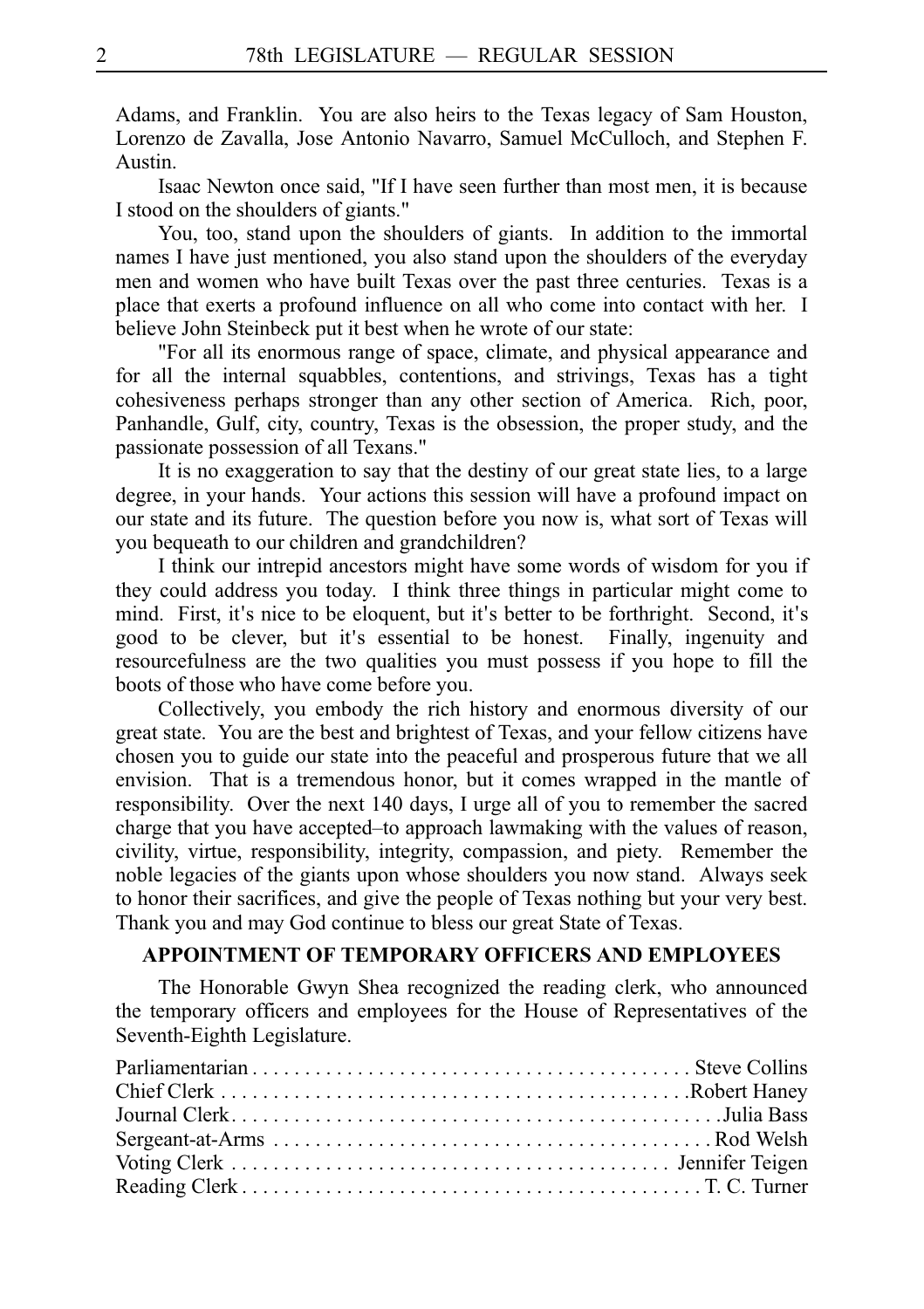Adams, and Franklin. You are also heirs to the Texas legacy of Sam Houston, Lorenzo de Zavalla, Jose Antonio Navarro, Samuel McCulloch, and Stephen F. Austin.

Isaac Newton once said, "If I have seen further than most men, it is because I stood on the shoulders of giants."

You, too, stand upon the shoulders of giants. In addition to the immortal names I have just mentioned, you also stand upon the shoulders of the everyday men and women who have built Texas over the past three centuries. Texas is a place that exerts a profound influence on all who come into contact with her. I believe John Steinbeck put it best when he wrote of our state:

"For all its enormous range of space, climate, and physical appearance and for all the internal squabbles, contentions, and strivings, Texas has a tight cohesiveness perhaps stronger than any other section of America. Rich, poor, Panhandle, Gulf, city, country, Texas is the obsession, the proper study, and the passionate possession of all Texans."

It is no exaggeration to say that the destiny of our great state lies, to a large degree, in your hands. Your actions this session will have a profound impact on our state and its future. The question before you now is, what sort of Texas will you bequeath to our children and grandchildren?

I think our intrepid ancestors might have some words of wisdom for you if they could address you today. I think three things in particular might come to mind. First, it's nice to be eloquent, but it's better to be forthright. Second, it's good to be clever, but it's essential to be honest. Finally, ingenuity and resourcefulness are the two qualities you must possess if you hope to fill the boots of those who have come before you.

Collectively, you embody the rich history and enormous diversity of our great state. You are the best and brightest of Texas, and your fellow citizens have chosen you to guide our state into the peaceful and prosperous future that we all envision. That is a tremendous honor, but it comes wrapped in the mantle of responsibility. Over the next 140 days, I urge all of you to remember the sacred charge that you have accepted–to approach lawmaking with the values of reason, civility, virtue, responsibility, integrity, compassion, and piety. Remember the noble legacies of the giants upon whose shoulders you now stand. Always seek to honor their sacrifices, and give the people of Texas nothing but your very best. Thank you and may God continue to bless our great State of Texas.

## **APPOINTMENT OF TEMPORARY OFFICERS AND EMPLOYEES**

The Honorable Gwyn Shea recognized the reading clerk, who announced the temporary officers and employees for the House of Representatives of the Seventh-Eighth Legislature.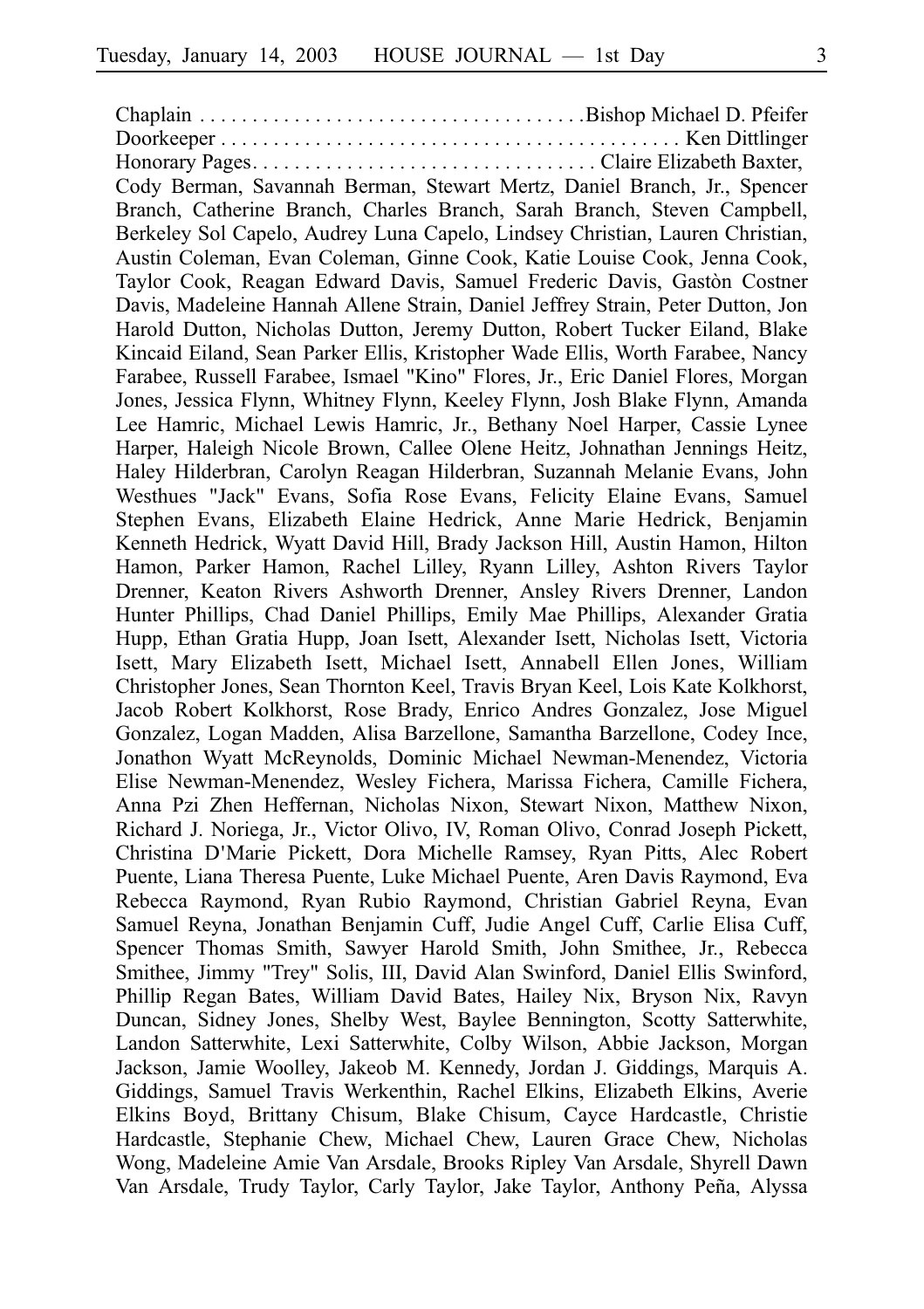Chaplain . . . . . . . . . . . . . . . . . . . . . . . . . . . . . . . . . . . . .Bishop Michael D. Pfeifer Doorkeeper . . . . . . . . . . . . . . . . . . . . . . . . . . . . . . . . . . . . . . . . . . . . Ken Dittlinger Honorary Pages. . . . . . . . . . . . . . . . . . . . . . . . . . . . . . . . . Claire Elizabeth Baxter, Cody Berman, Savannah Berman, Stewart Mertz, Daniel Branch, Jr., Spencer Branch, Catherine Branch, Charles Branch, Sarah Branch, Steven Campbell, Berkeley Sol Capelo, Audrey Luna Capelo, Lindsey Christian, Lauren Christian, Austin Coleman, Evan Coleman, Ginne Cook, Katie Louise Cook, Jenna Cook, Taylor Cook, Reagan Edward Davis, Samuel Frederic Davis, Gastòn Costner Davis, Madeleine Hannah Allene Strain, Daniel Jeffrey Strain, Peter Dutton, Jon Harold Dutton, Nicholas Dutton, Jeremy Dutton, Robert Tucker Eiland, Blake Kincaid Eiland, Sean Parker Ellis, Kristopher Wade Ellis, Worth Farabee, Nancy Farabee, Russell Farabee, Ismael "Kino" Flores, Jr., Eric Daniel Flores, Morgan Jones, Jessica Flynn, Whitney Flynn, Keeley Flynn, Josh Blake Flynn, Amanda Lee Hamric, Michael Lewis Hamric, Jr., Bethany Noel Harper, Cassie Lynee Harper, Haleigh Nicole Brown, Callee Olene Heitz, Johnathan Jennings Heitz, Haley Hilderbran, Carolyn Reagan Hilderbran, Suzannah Melanie Evans, John Westhues "Jack" Evans, Sofia Rose Evans, Felicity Elaine Evans, Samuel Stephen Evans, Elizabeth Elaine Hedrick, Anne Marie Hedrick, Benjamin Kenneth Hedrick, Wyatt David Hill, Brady Jackson Hill, Austin Hamon, Hilton Hamon, Parker Hamon, Rachel Lilley, Ryann Lilley, Ashton Rivers Taylor Drenner, Keaton Rivers Ashworth Drenner, Ansley Rivers Drenner, Landon Hunter Phillips, Chad Daniel Phillips, Emily Mae Phillips, Alexander Gratia Hupp, Ethan Gratia Hupp, Joan Isett, Alexander Isett, Nicholas Isett, Victoria Isett, Mary Elizabeth Isett, Michael Isett, Annabell Ellen Jones, William Christopher Jones, Sean Thornton Keel, Travis Bryan Keel, Lois Kate Kolkhorst, Jacob Robert Kolkhorst, Rose Brady, Enrico Andres Gonzalez, Jose Miguel Gonzalez, Logan Madden, Alisa Barzellone, Samantha Barzellone, Codey Ince, Jonathon Wyatt McReynolds, Dominic Michael Newman-Menendez, Victoria Elise Newman-Menendez, Wesley Fichera, Marissa Fichera, Camille Fichera, Anna Pzi Zhen Heffernan, Nicholas Nixon, Stewart Nixon, Matthew Nixon, Richard J. Noriega, Jr., Victor Olivo, IV, Roman Olivo, Conrad Joseph Pickett, Christina D Marie Pickett, Dora Michelle Ramsey, Ryan Pitts, Alec Robert ' Puente, Liana Theresa Puente, Luke Michael Puente, Aren Davis Raymond, Eva Rebecca Raymond, Ryan Rubio Raymond, Christian Gabriel Reyna, Evan Samuel Reyna, Jonathan Benjamin Cuff, Judie Angel Cuff, Carlie Elisa Cuff, Spencer Thomas Smith, Sawyer Harold Smith, John Smithee, Jr., Rebecca Smithee, Jimmy "Trey" Solis, III, David Alan Swinford, Daniel Ellis Swinford, Phillip Regan Bates, William David Bates, Hailey Nix, Bryson Nix, Ravyn Duncan, Sidney Jones, Shelby West, Baylee Bennington, Scotty Satterwhite, Landon Satterwhite, Lexi Satterwhite, Colby Wilson, Abbie Jackson, Morgan Jackson, Jamie Woolley, Jakeob M. Kennedy, Jordan J. Giddings, Marquis A. Giddings, Samuel Travis Werkenthin, Rachel Elkins, Elizabeth Elkins, Averie Elkins Boyd, Brittany Chisum, Blake Chisum, Cayce Hardcastle, Christie Hardcastle, Stephanie Chew, Michael Chew, Lauren Grace Chew, Nicholas Wong, Madeleine Amie Van Arsdale, Brooks Ripley Van Arsdale, Shyrell Dawn Van Arsdale, Trudy Taylor, Carly Taylor, Jake Taylor, Anthony Peña, Alyssa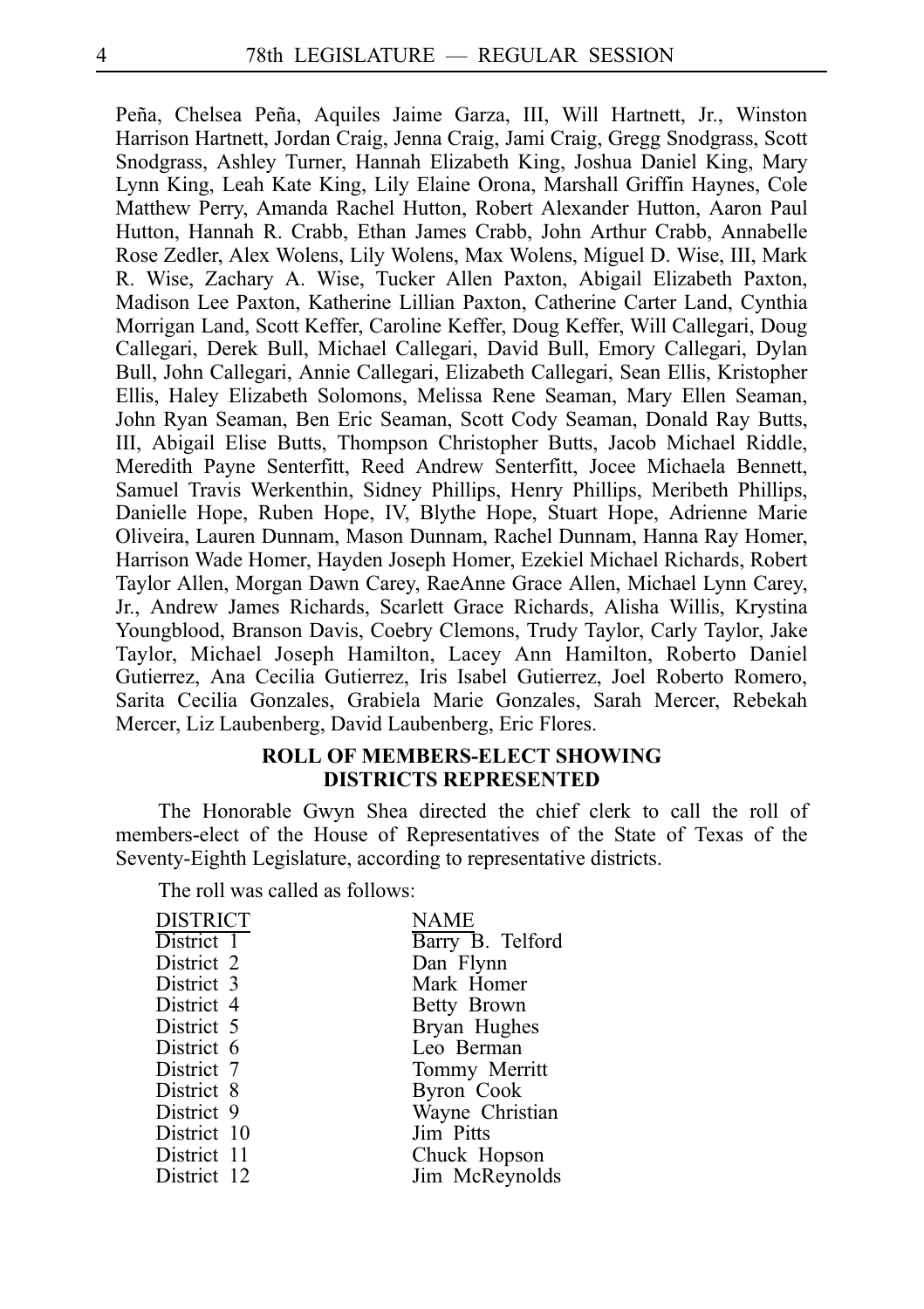Peña, Chelsea Peña, Aquiles Jaime Garza, III, Will Hartnett, Jr., Winston Harrison Hartnett, Jordan Craig, Jenna Craig, Jami Craig, Gregg Snodgrass, Scott Snodgrass, Ashley Turner, Hannah Elizabeth King, Joshua Daniel King, Mary Lynn King, Leah Kate King, Lily Elaine Orona, Marshall Griffin Haynes, Cole Matthew Perry, Amanda Rachel Hutton, Robert Alexander Hutton, Aaron Paul Hutton, Hannah R. Crabb, Ethan James Crabb, John Arthur Crabb, Annabelle Rose Zedler, Alex Wolens, Lily Wolens, Max Wolens, Miguel D. Wise, III, Mark R. Wise, Zachary A. Wise, Tucker Allen Paxton, Abigail Elizabeth Paxton, Madison Lee Paxton, Katherine Lillian Paxton, Catherine Carter Land, Cynthia Morrigan Land, Scott Keffer, Caroline Keffer, Doug Keffer, Will Callegari, Doug Callegari, Derek Bull, Michael Callegari, David Bull, Emory Callegari, Dylan Bull, John Callegari, Annie Callegari, Elizabeth Callegari, Sean Ellis, Kristopher Ellis, Haley Elizabeth Solomons, Melissa Rene Seaman, Mary Ellen Seaman, John Ryan Seaman, Ben Eric Seaman, Scott Cody Seaman, Donald Ray Butts, III, Abigail Elise Butts, Thompson Christopher Butts, Jacob Michael Riddle, Meredith Payne Senterfitt, Reed Andrew Senterfitt, Jocee Michaela Bennett, Samuel Travis Werkenthin, Sidney Phillips, Henry Phillips, Meribeth Phillips, Danielle Hope, Ruben Hope, IV, Blythe Hope, Stuart Hope, Adrienne Marie Oliveira, Lauren Dunnam, Mason Dunnam, Rachel Dunnam, Hanna Ray Homer, Harrison Wade Homer, Hayden Joseph Homer, Ezekiel Michael Richards, Robert Taylor Allen, Morgan Dawn Carey, RaeAnne Grace Allen, Michael Lynn Carey, Jr., Andrew James Richards, Scarlett Grace Richards, Alisha Willis, Krystina Youngblood, Branson Davis, Coebry Clemons, Trudy Taylor, Carly Taylor, Jake Taylor, Michael Joseph Hamilton, Lacey Ann Hamilton, Roberto Daniel Gutierrez, Ana Cecilia Gutierrez, Iris Isabel Gutierrez, Joel Roberto Romero, Sarita Cecilia Gonzales, Grabiela Marie Gonzales, Sarah Mercer, Rebekah Mercer, Liz Laubenberg, David Laubenberg, Eric Flores.

# **ROLL OF MEMBERS-ELECT SHOWING DISTRICTS REPRESENTED**

The Honorable Gwyn Shea directed the chief clerk to call the roll of members-elect of the House of Representatives of the State of Texas of the Seventy-Eighth Legislature, according to representative districts.

The roll was called as follows:

| <b>DISTRICT</b> | NAME             |
|-----------------|------------------|
| District 1      | Barry B. Telford |
| District 2      | Dan Flynn        |
| District 3      | Mark Homer       |
| District 4      | Betty Brown      |
| District 5      | Bryan Hughes     |
| District 6      | Leo Berman       |
| District 7      | Tommy Merritt    |
| District 8      | Byron Cook       |
| District 9      | Wayne Christian  |
| District 10     | Jim Pitts        |
| District 11     | Chuck Hopson     |
| District 12     | Jim McReynolds   |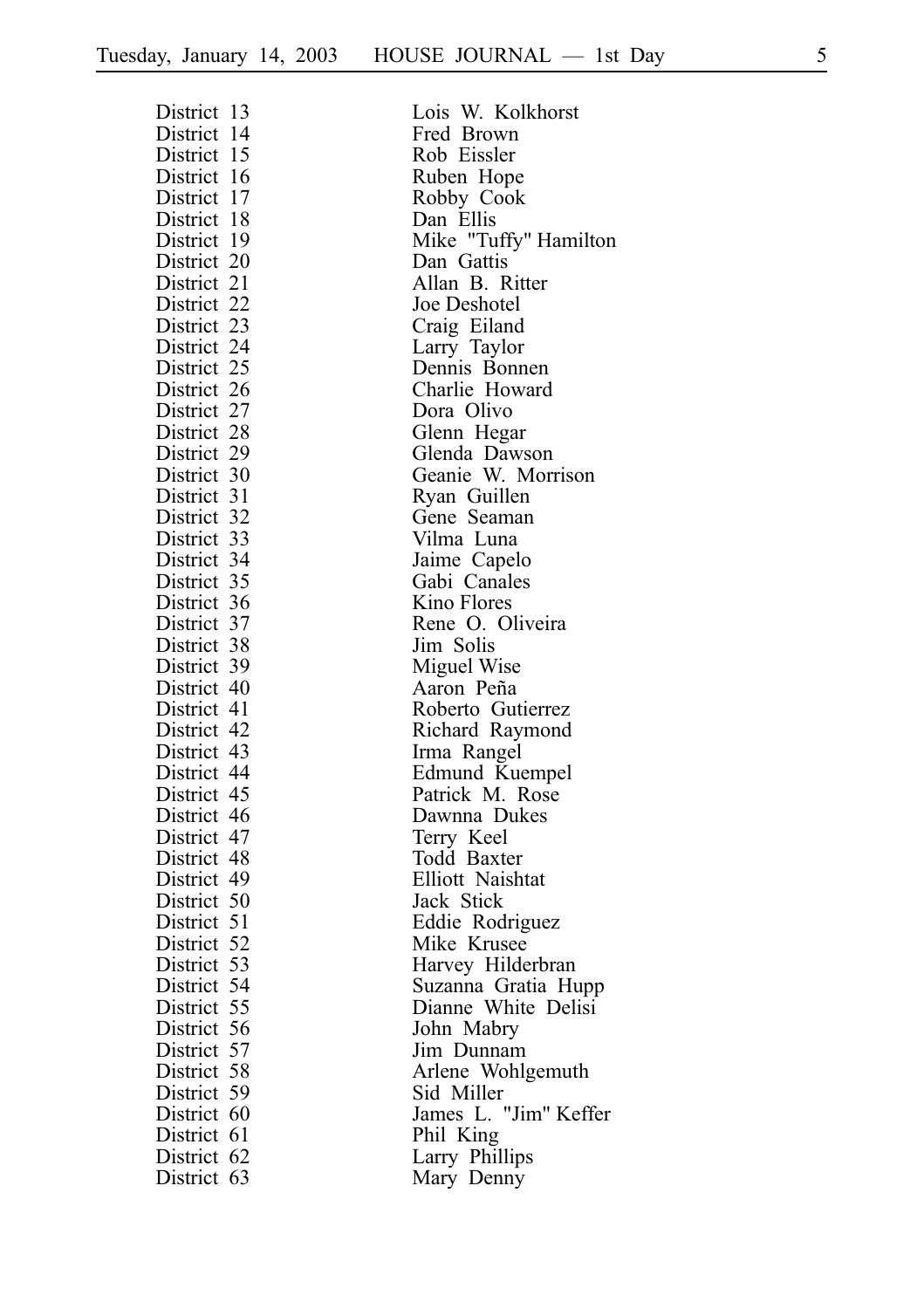| District 13 | Lois W. Kolkhorst                   |
|-------------|-------------------------------------|
| District 14 | Fred Brown                          |
| District 15 | Rob Eissler                         |
| District 16 | Ruben Hope                          |
| District 17 | Robby Cook                          |
| District 18 | Dan Ellis                           |
| District 19 | Mike "Tuffy" Hamilton               |
| District 20 | Dan Gattis                          |
| District 21 | Allan B. Ritter                     |
| District 22 | Joe Deshotel                        |
| District 23 | Craig Eiland                        |
| District 24 | Larry Taylor                        |
| District 25 | Dennis Bonnen                       |
| District 26 | Charlie Howard                      |
| District 27 | Dora Olivo                          |
| District 28 | Glenn Hegar                         |
| District 29 |                                     |
| District 30 | Glenda Dawson<br>Geanie W. Morrison |
| District 31 | Ryan Guillen                        |
| District 32 | Gene Seaman                         |
| District 33 | Vilma Luna                          |
| District 34 | Jaime Capelo                        |
| District 35 | Gabi Canales                        |
| District 36 | Kino Flores                         |
| District 37 | Rene O. Oliveira                    |
| District 38 | Jim Solis                           |
| District 39 | Miguel Wise                         |
| District 40 | Aaron Peña                          |
| District 41 | Roberto Gutierrez                   |
| District 42 | Richard Raymond                     |
|             |                                     |
| District 43 | Irma Rangel                         |
| District 44 | Edmund Kuempel<br>Patrick M. Rose   |
| District 45 |                                     |
| District 46 | Dawnna Dukes                        |
| District 47 | Terry Keel                          |
| District 48 | Todd Baxter                         |
| District 49 | Elliott Naishtat                    |
| District 50 | Jack Stick                          |
| District 51 | Eddie Rodriguez                     |
| District 52 | Mike Krusee                         |
| District 53 | Harvey Hilderbran                   |
| District 54 | Suzanna Gratia Hupp                 |
| District 55 | Dianne White Delisi                 |
| District 56 | John Mabry                          |
| District 57 | Jim Dunnam                          |
| District 58 | Arlene Wohlgemuth                   |
| District 59 | Sid Miller                          |
| District 60 | James L. "Jim" Keffer               |
| District 61 | Phil King                           |
| District 62 | Larry Phillips                      |
| District 63 | Mary Denny                          |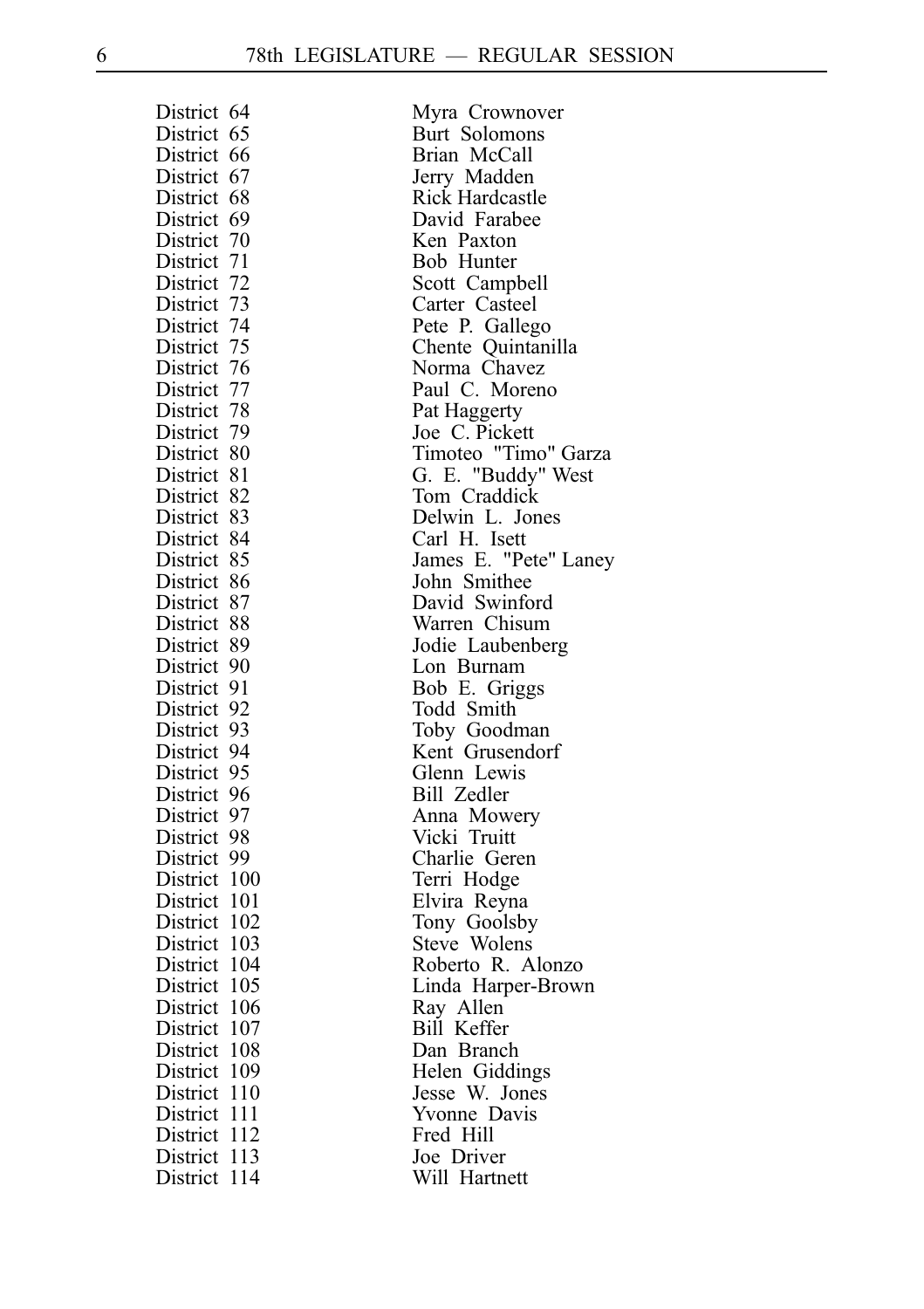| District 64      | Myra Crownover              |
|------------------|-----------------------------|
| District 65      | Burt Solomons               |
| District 66      | Brian McCall                |
| District 67      | Jerry Madden                |
| District 68      | Rick Hardcastle             |
| District 69      | David Farabee               |
| District 70      | Ken Paxton                  |
| District 71      | Bob Hunter                  |
| District 72      | Scott Campbell              |
| District 73      | Carter Casteel              |
| District 74      | Pete P. Gallego             |
| District 75      | Chente Quintanilla          |
| District 76      | Norma Chavez                |
| District 77      | Paul C. Moreno              |
| District 78      | Pat Haggerty                |
| District 79      | Joe C. Pickett              |
| District 80      | Timoteo "Timo" Garza        |
| District 81      | G. E. "Buddy" West          |
| District 82      | Tom Craddick                |
| District 83      | Delwin L. Jones             |
| District 84      | Carl H. Isett               |
| District 85      | James E. "Pete" Laney       |
| District 86      | John Smithee                |
| District 87      | David Swinford              |
| District 88      |                             |
| District 89      | Warren Chisum               |
| District 90      | Jodie Laubenberg            |
|                  | Lon Burnam                  |
| District 91      | Bob E. Griggs               |
| District 92      | Todd Smith                  |
| District 93      | Toby Goodman                |
| District 94      | Kent Grusendorf             |
| District 95      | Glenn Lewis                 |
| District 96      | Bill Zedler                 |
| District 97      | Anna Mowery<br>Vicki Truitt |
| District 98      |                             |
| District 99      | Charlie Geren               |
| District 100     | Terri Hodge                 |
| District 101     | Elvira Reyna                |
| District 102     | Tony Goolsby                |
| District 103     | Steve Wolens                |
| District 104     | Roberto R. Alonzo           |
| District 105     | Linda Harper-Brown          |
| District 106     | Ray Allen                   |
| District 107     | Bill Keffer                 |
| District 108     | Dan Branch                  |
| District 109     | Helen Giddings              |
| District 110     | Jesse W. Jones              |
| District 111     | Yvonne Davis                |
| District 112     | Fred Hill                   |
| District 113     | Joe Driver                  |
| -114<br>District | Will Hartnett               |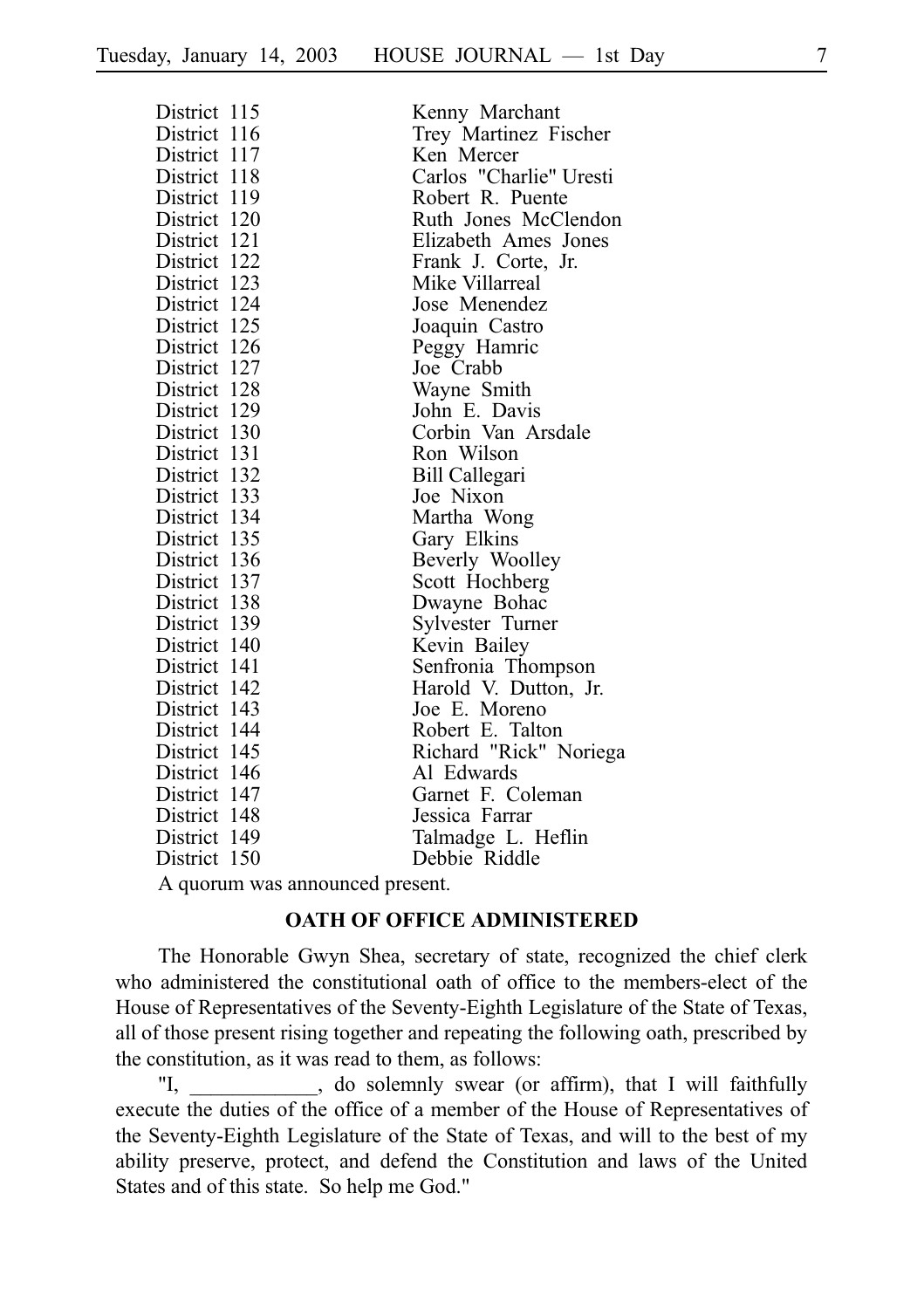| District 115 | Kenny Marchant          |
|--------------|-------------------------|
| District 116 | Trey Martinez Fischer   |
| District 117 | Ken Mercer              |
| District 118 | Carlos "Charlie" Uresti |
| District 119 | Robert R. Puente        |
| District 120 | Ruth Jones McClendon    |
| District 121 | Elizabeth Ames Jones    |
| District 122 | Frank J. Corte, Jr.     |
| District 123 | Mike Villarreal         |
| District 124 | Jose Menendez           |
| District 125 | Joaquin Castro          |
| District 126 | Peggy Hamric            |
| District 127 | Joe Crabb               |
| District 128 | Wayne Smith             |
| District 129 | John E. Davis           |
| District 130 | Corbin Van Arsdale      |
| District 131 | Ron Wilson              |
| District 132 | Bill Callegari          |
| District 133 | Joe Nixon               |
| District 134 | Martha Wong             |
| District 135 | Gary Elkins             |
| District 136 | Beverly Woolley         |
| District 137 | Scott Hochberg          |
| District 138 | Dwayne Bohac            |
| District 139 | Sylvester Turner        |
| District 140 | Kevin Bailey            |
| District 141 | Senfronia Thompson      |
| District 142 | Harold V. Dutton, Jr.   |
| District 143 | Joe E. Moreno           |
| District 144 | Robert E. Talton        |
| District 145 | Richard "Rick" Noriega  |
| District 146 | Al Edwards              |
| District 147 | Garnet F. Coleman       |
| District 148 | Jessica Farrar          |
| District 149 | Talmadge L. Heflin      |
| District 150 | Debbie Riddle           |

A quorum was announced present.

#### **OATH OF OFFICE ADMINISTERED**

The Honorable Gwyn Shea, secretary of state, recognized the chief clerk who administered the constitutional oath of office to the members-elect of the House of Representatives of the Seventy-Eighth Legislature of the State of Texas, all of those present rising together and repeating the following oath, prescribed by the constitution, as it was read to them, as follows:

"I, do solemnly swear (or affirm), that I will faithfully execute the duties of the office of a member of the House of Representatives of the Seventy-Eighth Legislature of the State of Texas, and will to the best of my ability preserve, protect, and defend the Constitution and laws of the United States and of this state. So help me God."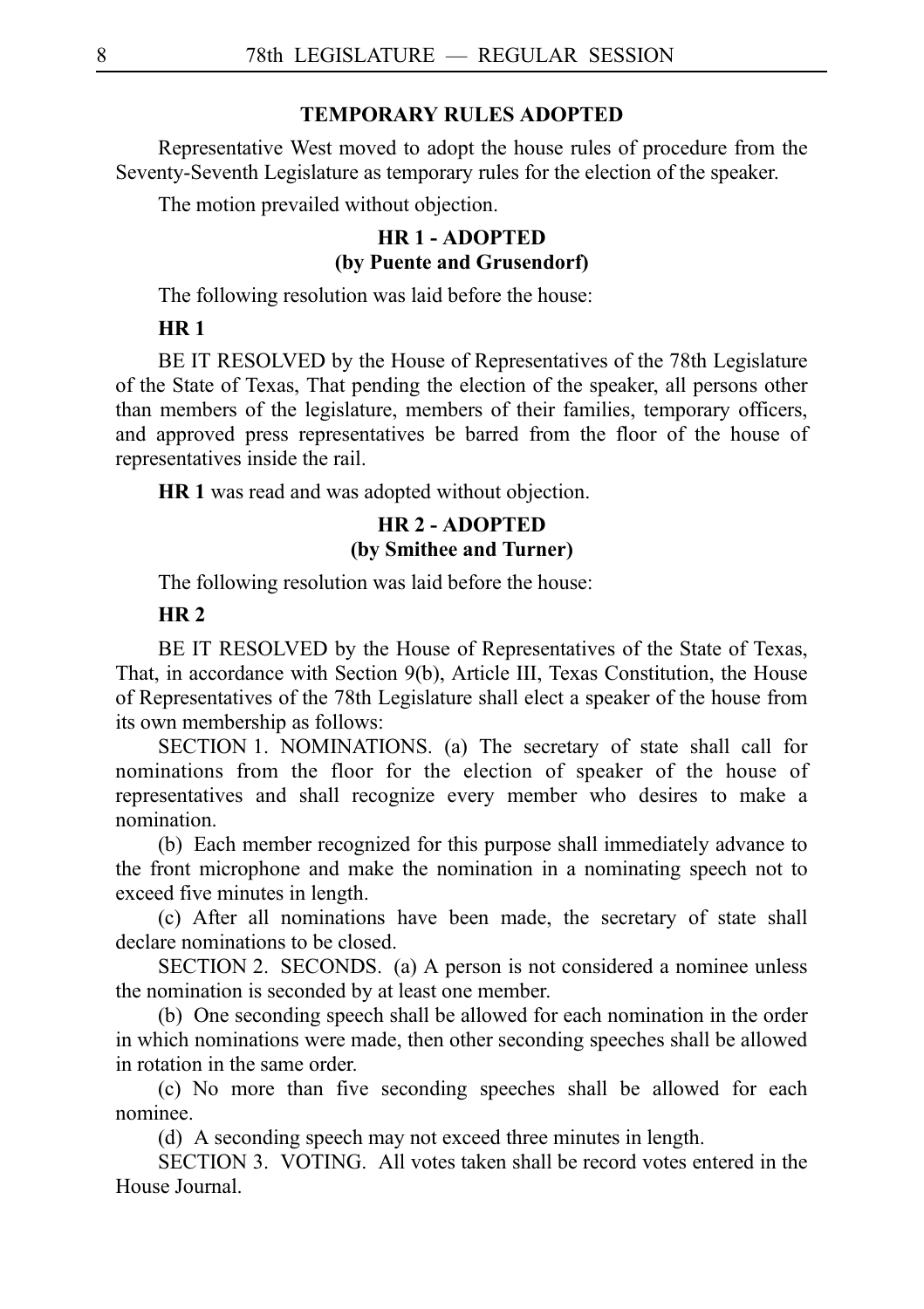# **TEMPORARY RULES ADOPTED**

Representative West moved to adopt the house rules of procedure from the Seventy-Seventh Legislature as temporary rules for the election of the speaker.

The motion prevailed without objection.

# **HR 1 - ADOPTED (by Puente and Grusendorf)**

The following resolution was laid before the house:

# **HR 1**

BE IT RESOLVED by the House of Representatives of the 78th Legislature of the State of Texas, That pending the election of the speaker, all persons other than members of the legislature, members of their families, temporary officers, and approved press representatives be barred from the floor of the house of representatives inside the rail.

**HR 1** was read and was adopted without objection.

# **HR 2 - ADOPTED (by Smithee and Turner)**

The following resolution was laid before the house:

## **HR 2**

BE IT RESOLVED by the House of Representatives of the State of Texas, That, in accordance with Section 9(b), Article III, Texas Constitution, the House of Representatives of the 78th Legislature shall elect a speaker of the house from its own membership as follows:

SECTION 1. NOMINATIONS. (a) The secretary of state shall call for nominations from the floor for the election of speaker of the house of representatives and shall recognize every member who desires to make a nomination.

(b) Each member recognized for this purpose shall immediately advance to the front microphone and make the nomination in a nominating speech not to exceed five minutes in length.

(c) After all nominations have been made, the secretary of state shall declare nominations to be closed.

SECTION 2. SECONDS. (a) A person is not considered a nominee unless the nomination is seconded by at least one member.

(b) One seconding speech shall be allowed for each nomination in the order in which nominations were made, then other seconding speeches shall be allowed in rotation in the same order.

(c) No more than five seconding speeches shall be allowed for each nominee.

(d) A seconding speech may not exceed three minutes in length.

SECTION 3. VOTING. All votes taken shall be record votes entered in the House Journal.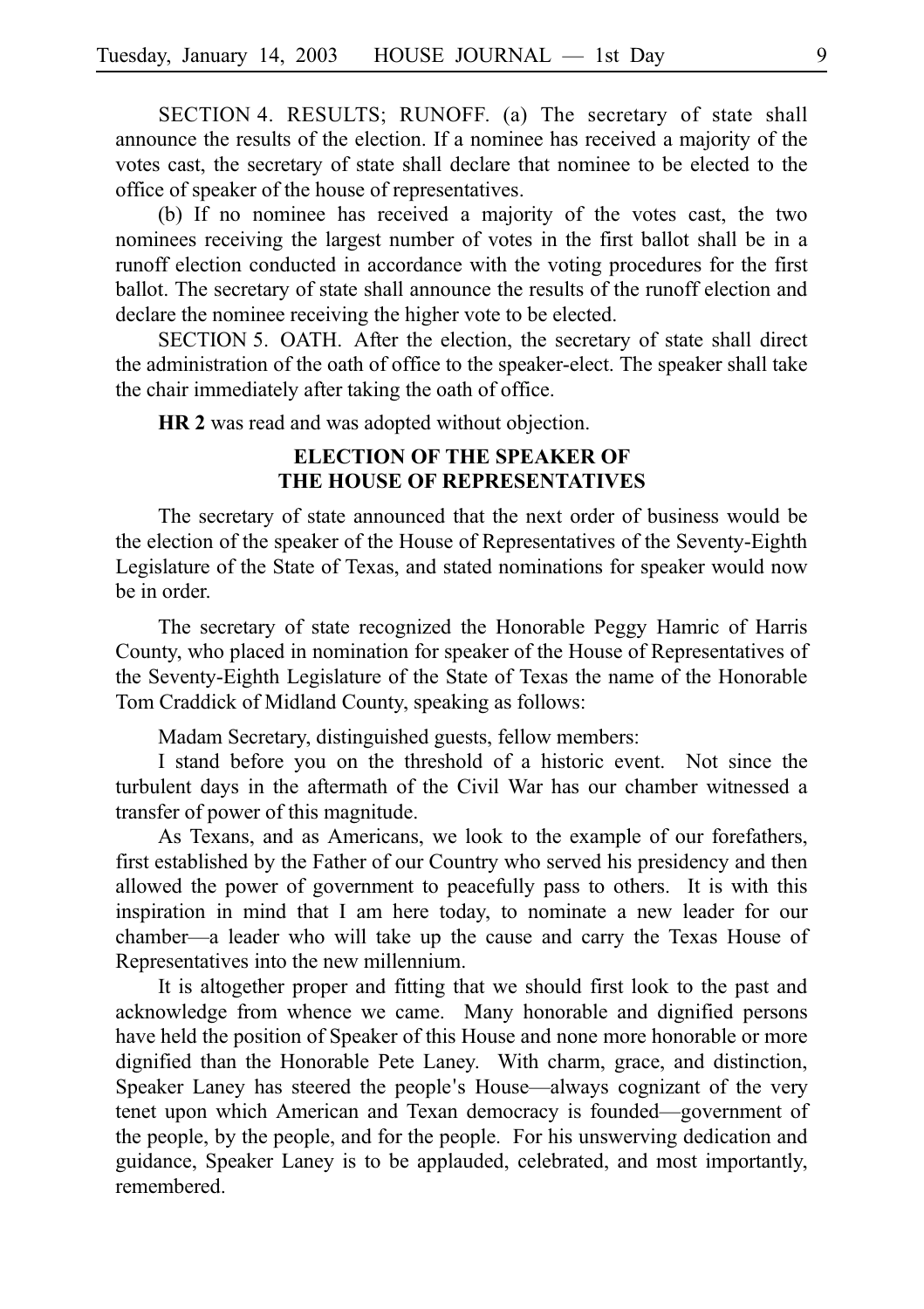SECTION 4. RESULTS; RUNOFF. (a) The secretary of state shall announce the results of the election. If a nominee has received a majority of the votes cast, the secretary of state shall declare that nominee to be elected to the office of speaker of the house of representatives.

(b) If no nominee has received a majority of the votes cast, the two nominees receiving the largest number of votes in the first ballot shall be in a runoff election conducted in accordance with the voting procedures for the first ballot. The secretary of state shall announce the results of the runoff election and declare the nominee receiving the higher vote to be elected.

SECTION 5. OATH. After the election, the secretary of state shall direct the administration of the oath of office to the speaker-elect. The speaker shall take the chair immediately after taking the oath of office.

**HR 2** was read and was adopted without objection.

# **ELECTION OF THE SPEAKER OF THE HOUSE OF REPRESENTATIVES**

The secretary of state announced that the next order of business would be the election of the speaker of the House of Representatives of the Seventy-Eighth Legislature of the State of Texas, and stated nominations for speaker would now be in order.

The secretary of state recognized the Honorable Peggy Hamric of Harris County, who placed in nomination for speaker of the House of Representatives of the Seventy-Eighth Legislature of the State of Texas the name of the Honorable Tom Craddick of Midland County, speaking as follows:

Madam Secretary, distinguished guests, fellow members:

I stand before you on the threshold of a historic event. Not since the turbulent days in the aftermath of the Civil War has our chamber witnessed a transfer of power of this magnitude.

As Texans, and as Americans, we look to the example of our forefathers, first established by the Father of our Country who served his presidency and then allowed the power of government to peacefully pass to others. It is with this inspiration in mind that I am here today, to nominate a new leader for our chamber—a leader who will take up the cause and carry the Texas House of Representatives into the new millennium.

It is altogether proper and fitting that we should first look to the past and acknowledge from whence we came. Many honorable and dignified persons have held the position of Speaker of this House and none more honorable or more dignified than the Honorable Pete Laney. With charm, grace, and distinction, Speaker Laney has steered the people's House—always cognizant of the very tenet upon which American and Texan democracy is founded—government of the people, by the people, and for the people. For his unswerving dedication and guidance, Speaker Laney is to be applauded, celebrated, and most importantly, remembered.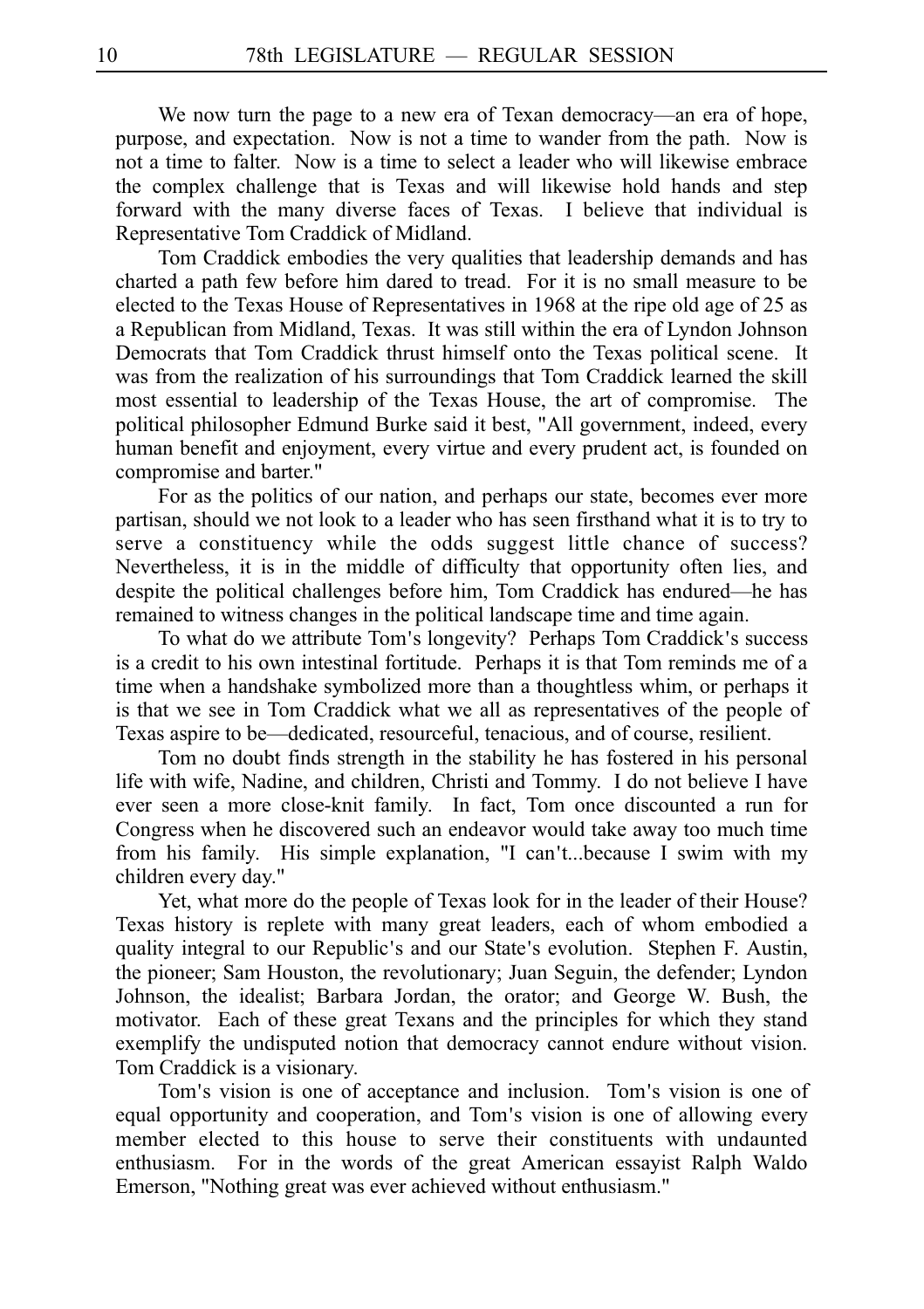We now turn the page to a new era of Texan democracy—an era of hope, purpose, and expectation. Now is not a time to wander from the path. Now is not a time to falter. Now is a time to select a leader who will likewise embrace the complex challenge that is Texas and will likewise hold hands and step forward with the many diverse faces of Texas. I believe that individual is Representative Tom Craddick of Midland.

Tom Craddick embodies the very qualities that leadership demands and has charted a path few before him dared to tread. For it is no small measure to be elected to the Texas House of Representatives in 1968 at the ripe old age of 25 as a Republican from Midland, Texas. It was still within the era of Lyndon Johnson Democrats that Tom Craddick thrust himself onto the Texas political scene. It was from the realization of his surroundings that Tom Craddick learned the skill most essential to leadership of the Texas House, the art of compromise. The political philosopher Edmund Burke said it best, "All government, indeed, every human benefit and enjoyment, every virtue and every prudent act, is founded on compromise and barter."

For as the politics of our nation, and perhaps our state, becomes ever more partisan, should we not look to a leader who has seen firsthand what it is to try to serve a constituency while the odds suggest little chance of success? Nevertheless, it is in the middle of difficulty that opportunity often lies, and despite the political challenges before him, Tom Craddick has endured—he has remained to witness changes in the political landscape time and time again.

To what do we attribute Tom's longevity? Perhaps Tom Craddick's success is a credit to his own intestinal fortitude. Perhaps it is that Tom reminds me of a time when a handshake symbolized more than a thoughtless whim, or perhaps it is that we see in Tom Craddick what we all as representatives of the people of Texas aspire to be—dedicated, resourceful, tenacious, and of course, resilient.

Tom no doubt finds strength in the stability he has fostered in his personal life with wife, Nadine, and children, Christi and Tommy. I do not believe I have ever seen a more close-knit family. In fact, Tom once discounted a run for Congress when he discovered such an endeavor would take away too much time from his family. His simple explanation, "I can t...because I swim with my ' children every day."

Yet, what more do the people of Texas look for in the leader of their House? Texas history is replete with many great leaders, each of whom embodied a quality integral to our Republic's and our State's evolution. Stephen F. Austin, the pioneer; Sam Houston, the revolutionary; Juan Seguin, the defender; Lyndon Johnson, the idealist; Barbara Jordan, the orator; and George W. Bush, the motivator. Each of these great Texans and the principles for which they stand exemplify the undisputed notion that democracy cannot endure without vision. Tom Craddick is a visionary.

Tom's vision is one of acceptance and inclusion. Tom's vision is one of equal opportunity and cooperation, and Tom's vision is one of allowing every member elected to this house to serve their constituents with undaunted enthusiasm. For in the words of the great American essayist Ralph Waldo Emerson, "Nothing great was ever achieved without enthusiasm."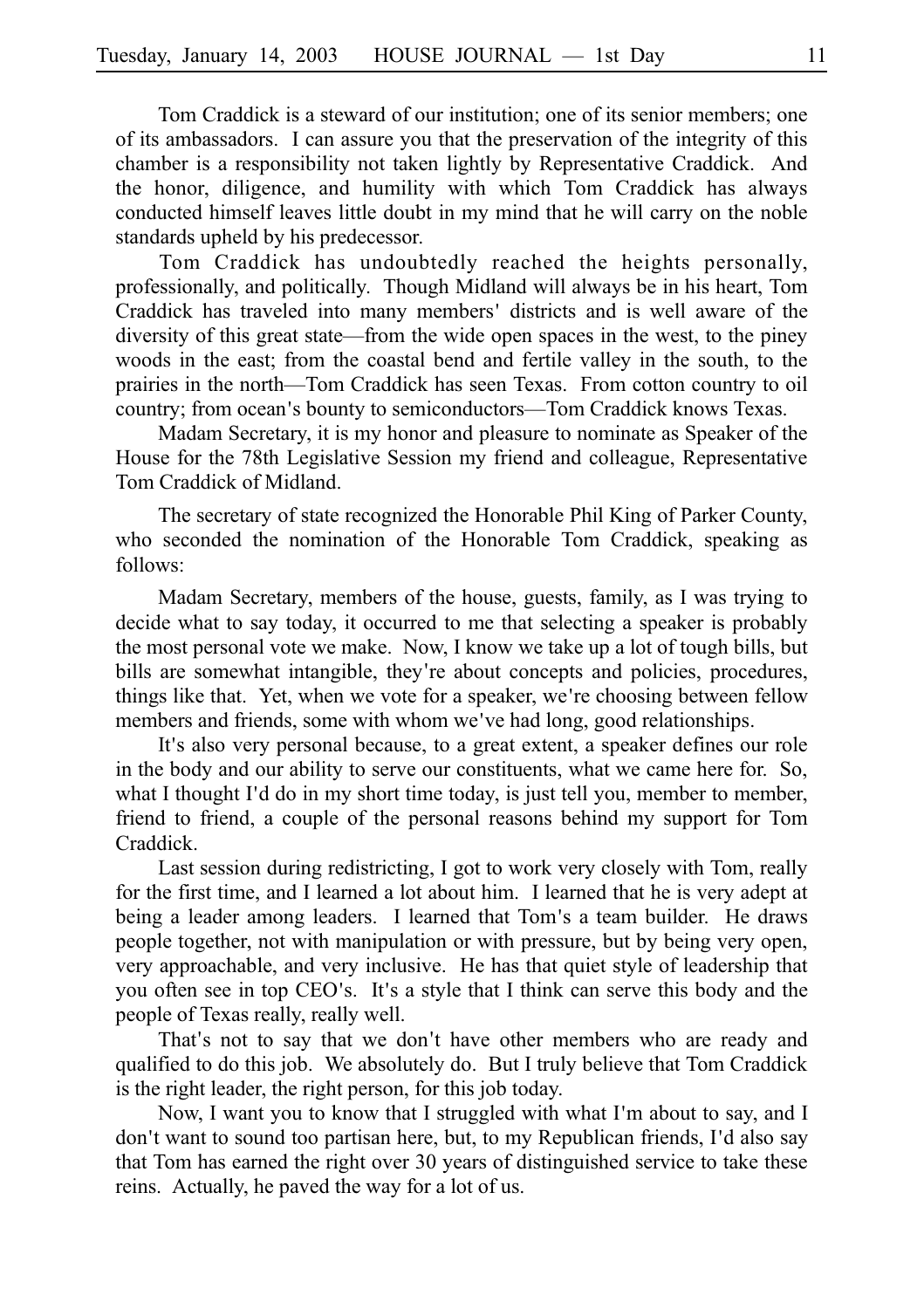Tom Craddick is a steward of our institution; one of its senior members; one of its ambassadors. I can assure you that the preservation of the integrity of this chamber is a responsibility not taken lightly by Representative Craddick. And the honor, diligence, and humility with which Tom Craddick has always conducted himself leaves little doubt in my mind that he will carry on the noble standards upheld by his predecessor.

Tom Craddick has undoubtedly reached the heights personally, professionally, and politically. Though Midland will always be in his heart, Tom Craddick has traveled into many members' districts and is well aware of the diversity of this great state—from the wide open spaces in the west, to the piney woods in the east; from the coastal bend and fertile valley in the south, to the prairies in the north—Tom Craddick has seen Texas. From cotton country to oil country; from ocean's bounty to semiconductors—Tom Craddick knows Texas.

Madam Secretary, it is my honor and pleasure to nominate as Speaker of the House for the 78th Legislative Session my friend and colleague, Representative Tom Craddick of Midland.

The secretary of state recognized the Honorable Phil King of Parker County, who seconded the nomination of the Honorable Tom Craddick, speaking as follows:

Madam Secretary, members of the house, guests, family, as I was trying to decide what to say today, it occurred to me that selecting a speaker is probably the most personal vote we make. Now, I know we take up a lot of tough bills, but bills are somewhat intangible, they're about concepts and policies, procedures, things like that. Yet, when we vote for a speaker, we re choosing between fellow ' members and friends, some with whom we've had long, good relationships.

It's also very personal because, to a great extent, a speaker defines our role in the body and our ability to serve our constituents, what we came here for. So, what I thought I'd do in my short time today, is just tell you, member to member, friend to friend, a couple of the personal reasons behind my support for Tom Craddick.

Last session during redistricting, I got to work very closely with Tom, really for the first time, and I learned a lot about him. I learned that he is very adept at being a leader among leaders. I learned that Tom's a team builder. He draws people together, not with manipulation or with pressure, but by being very open, very approachable, and very inclusive. He has that quiet style of leadership that you often see in top CEO's. It's a style that I think can serve this body and the people of Texas really, really well.

That's not to say that we don't have other members who are ready and qualified to do this job. We absolutely do. But I truly believe that Tom Craddick is the right leader, the right person, for this job today.

Now, I want you to know that I struggled with what I'm about to say, and I don't want to sound too partisan here, but, to my Republican friends, I'd also say that Tom has earned the right over 30 years of distinguished service to take these reins. Actually, he paved the way for a lot of us.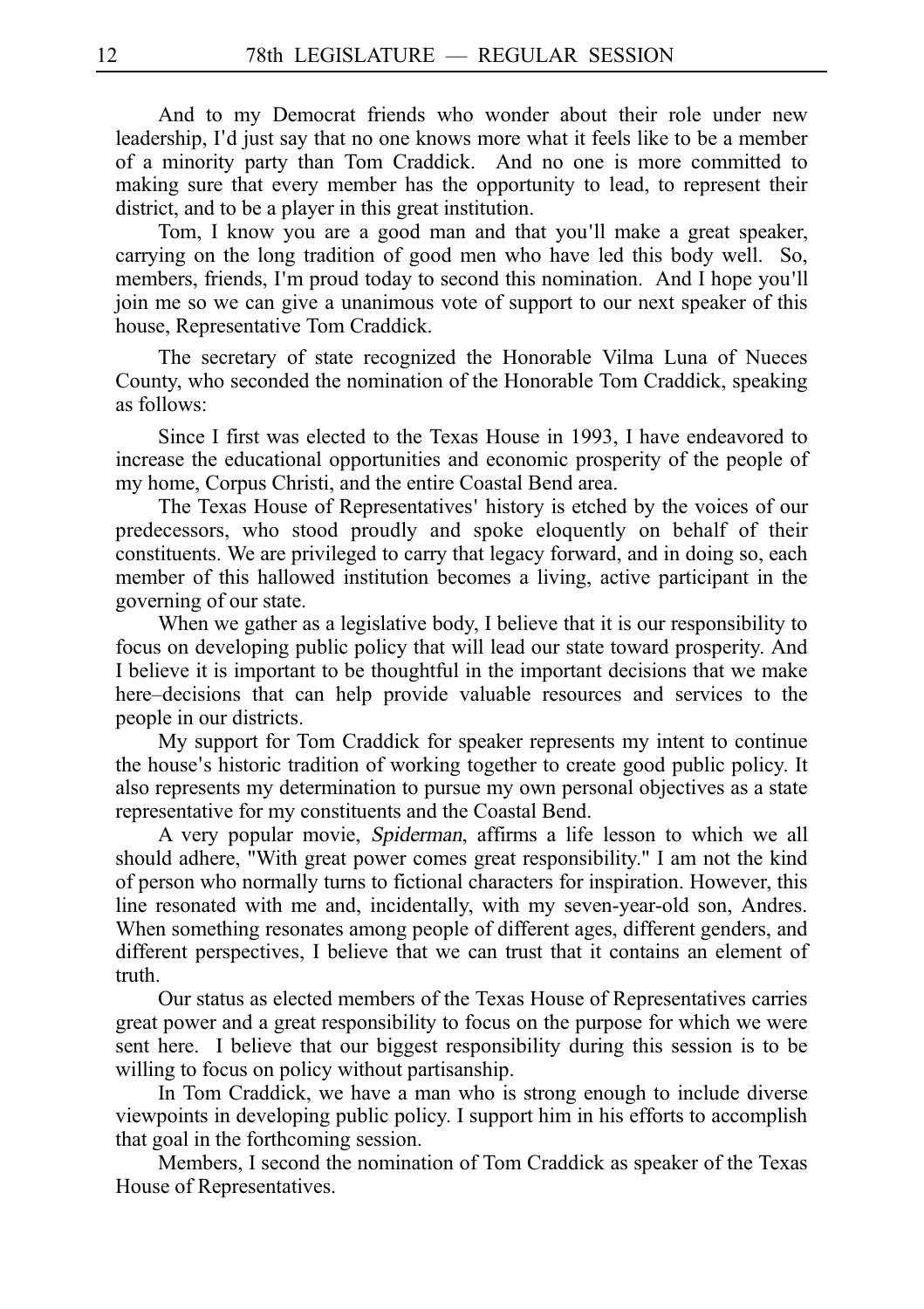And to my Democrat friends who wonder about their role under new leadership, I'd just say that no one knows more what it feels like to be a member of a minority party than Tom Craddick. And no one is more committed to making sure that every member has the opportunity to lead, to represent their district, and to be a player in this great institution.

Tom, I know you are a good man and that you'll make a great speaker, carrying on the long tradition of good men who have led this body well. So, members, friends, I'm proud today to second this nomination. And I hope you'll join me so we can give a unanimous vote of support to our next speaker of this house, Representative Tom Craddick.

The secretary of state recognized the Honorable Vilma Luna of Nueces County, who seconded the nomination of the Honorable Tom Craddick, speaking as follows:

Since I first was elected to the Texas House in 1993, I have endeavored to increase the educational opportunities and economic prosperity of the people of my home, Corpus Christi, and the entire Coastal Bend area.

The Texas House of Representatives' history is etched by the voices of our predecessors, who stood proudly and spoke eloquently on behalf of their constituents. We are privileged to carry that legacy forward, and in doing so, each member of this hallowed institution becomes a living, active participant in the governing of our state.

When we gather as a legislative body, I believe that it is our responsibility to focus on developing public policy that will lead our state toward prosperity. And I believe it is important to be thoughtful in the important decisions that we make here–decisions that can help provide valuable resources and services to the people in our districts.

My support for Tom Craddick for speaker represents my intent to continue the house's historic tradition of working together to create good public policy. It also represents my determination to pursue my own personal objectives as a state representative for my constituents and the Coastal Bend.

A very popular movie, Spiderman, affirms a life lesson to which we all should adhere, "With great power comes great responsibility." I am not the kind of person who normally turns to fictional characters for inspiration. However, this line resonated with me and, incidentally, with my seven-year-old son, Andres. When something resonates among people of different ages, different genders, and different perspectives, I believe that we can trust that it contains an element of truth.

Our status as elected members of the Texas House of Representatives carries great power and a great responsibility to focus on the purpose for which we were sent here. I believe that our biggest responsibility during this session is to be willing to focus on policy without partisanship.

In Tom Craddick, we have a man who is strong enough to include diverse viewpoints in developing public policy. I support him in his efforts to accomplish that goal in the forthcoming session.

Members, I second the nomination of Tom Craddick as speaker of the Texas House of Representatives.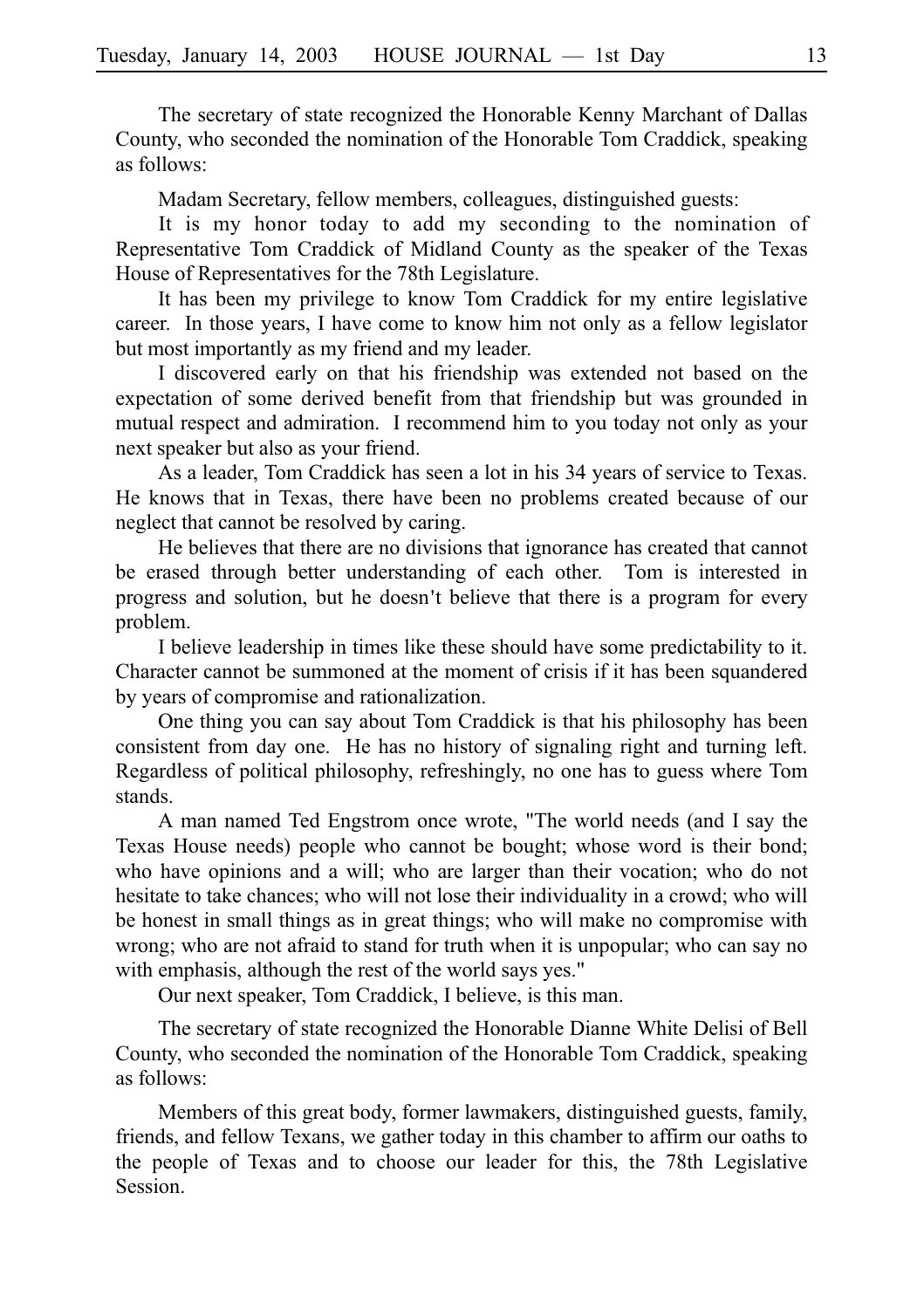The secretary of state recognized the Honorable Kenny Marchant of Dallas County, who seconded the nomination of the Honorable Tom Craddick, speaking as follows:

Madam Secretary, fellow members, colleagues, distinguished guests:

It is my honor today to add my seconding to the nomination of Representative Tom Craddick of Midland County as the speaker of the Texas House of Representatives for the 78th Legislature.

It has been my privilege to know Tom Craddick for my entire legislative career. In those years, I have come to know him not only as a fellow legislator but most importantly as my friend and my leader.

I discovered early on that his friendship was extended not based on the expectation of some derived benefit from that friendship but was grounded in mutual respect and admiration. I recommend him to you today not only as your next speaker but also as your friend.

As a leader, Tom Craddick has seen a lot in his 34 years of service to Texas. He knows that in Texas, there have been no problems created because of our neglect that cannot be resolved by caring.

He believes that there are no divisions that ignorance has created that cannot be erased through better understanding of each other. Tom is interested in progress and solution, but he doesn't believe that there is a program for every problem.

I believe leadership in times like these should have some predictability to it. Character cannot be summoned at the moment of crisis if it has been squandered by years of compromise and rationalization.

One thing you can say about Tom Craddick is that his philosophy has been consistent from day one. He has no history of signaling right and turning left. Regardless of political philosophy, refreshingly, no one has to guess where Tom stands.

A man named Ted Engstrom once wrote, "The world needs (and I say the Texas House needs) people who cannot be bought; whose word is their bond; who have opinions and a will; who are larger than their vocation; who do not hesitate to take chances; who will not lose their individuality in a crowd; who will be honest in small things as in great things; who will make no compromise with wrong; who are not afraid to stand for truth when it is unpopular; who can say no with emphasis, although the rest of the world says yes."

Our next speaker, Tom Craddick, I believe, is this man.

The secretary of state recognized the Honorable Dianne White Delisi of Bell County, who seconded the nomination of the Honorable Tom Craddick, speaking as follows:

Members of this great body, former lawmakers, distinguished guests, family, friends, and fellow Texans, we gather today in this chamber to affirm our oaths to the people of Texas and to choose our leader for this, the 78th Legislative Session.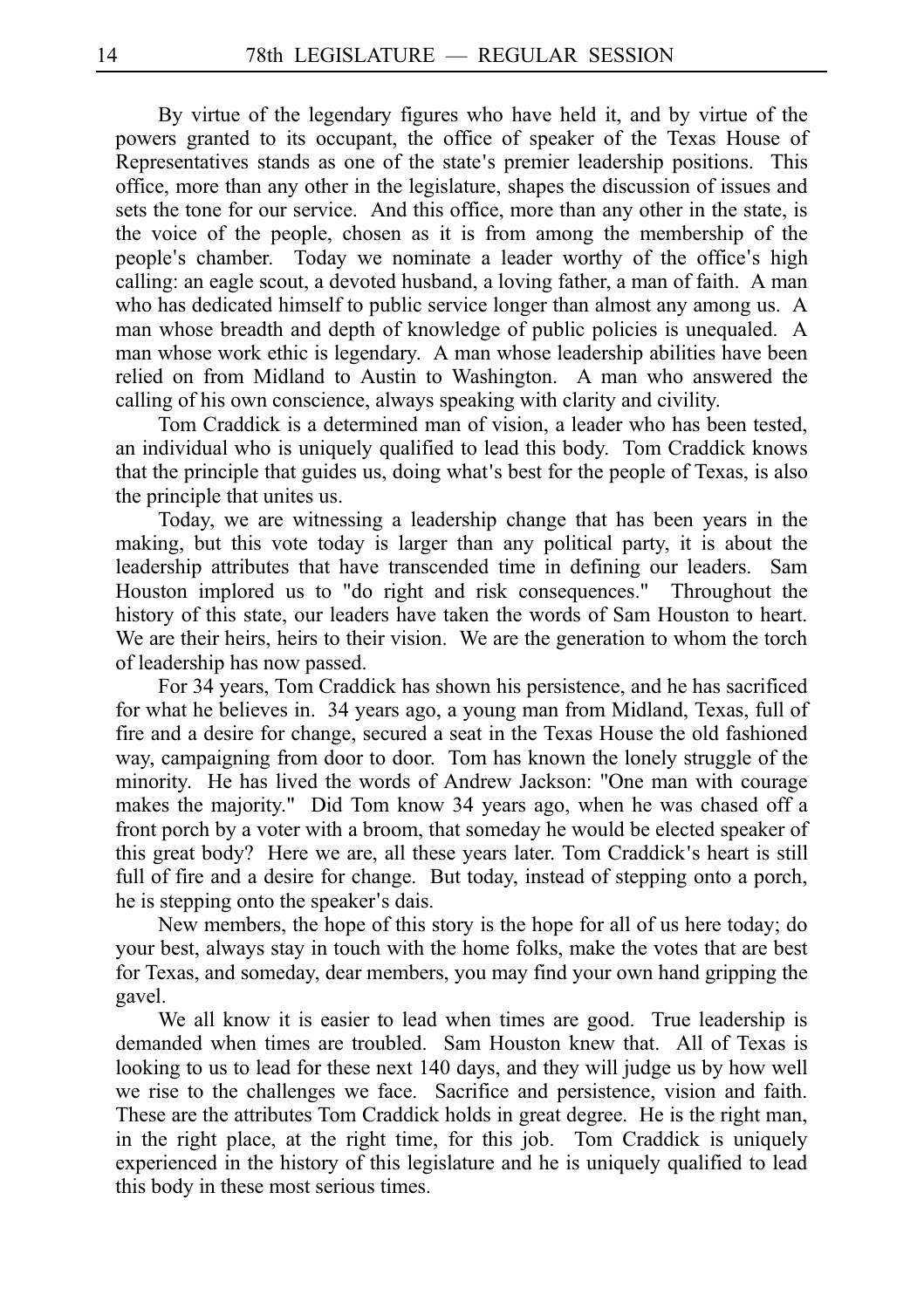By virtue of the legendary figures who have held it, and by virtue of the powers granted to its occupant, the office of speaker of the Texas House of Representatives stands as one of the state's premier leadership positions. This office, more than any other in the legislature, shapes the discussion of issues and sets the tone for our service. And this office, more than any other in the state, is the voice of the people, chosen as it is from among the membership of the people's chamber. Today we nominate a leader worthy of the office's high calling: an eagle scout, a devoted husband, a loving father, a man of faith. A man who has dedicated himself to public service longer than almost any among us. A man whose breadth and depth of knowledge of public policies is unequaled. A man whose work ethic is legendary. A man whose leadership abilities have been relied on from Midland to Austin to Washington. A man who answered the calling of his own conscience, always speaking with clarity and civility.

Tom Craddick is a determined man of vision, a leader who has been tested, an individual who is uniquely qualified to lead this body. Tom Craddick knows that the principle that guides us, doing what's best for the people of Texas, is also the principle that unites us.

Today, we are witnessing a leadership change that has been years in the making, but this vote today is larger than any political party, it is about the leadership attributes that have transcended time in defining our leaders. Sam Houston implored us to "do right and risk consequences." Throughout the history of this state, our leaders have taken the words of Sam Houston to heart. We are their heirs, heirs to their vision. We are the generation to whom the torch of leadership has now passed.

For 34 years, Tom Craddick has shown his persistence, and he has sacrificed for what he believes in. 34 years ago, a young man from Midland, Texas, full of fire and a desire for change, secured a seat in the Texas House the old fashioned way, campaigning from door to door. Tom has known the lonely struggle of the minority. He has lived the words of Andrew Jackson: "One man with courage makes the majority." Did Tom know 34 years ago, when he was chased off a front porch by a voter with a broom, that someday he would be elected speaker of this great body? Here we are, all these years later. Tom Craddick's heart is still full of fire and a desire for change. But today, instead of stepping onto a porch, he is stepping onto the speaker's dais.

New members, the hope of this story is the hope for all of us here today; do your best, always stay in touch with the home folks, make the votes that are best for Texas, and someday, dear members, you may find your own hand gripping the gavel.

We all know it is easier to lead when times are good. True leadership is demanded when times are troubled. Sam Houston knew that. All of Texas is looking to us to lead for these next 140 days, and they will judge us by how well we rise to the challenges we face. Sacrifice and persistence, vision and faith. These are the attributes Tom Craddick holds in great degree. He is the right man, in the right place, at the right time, for this job. Tom Craddick is uniquely experienced in the history of this legislature and he is uniquely qualified to lead this body in these most serious times.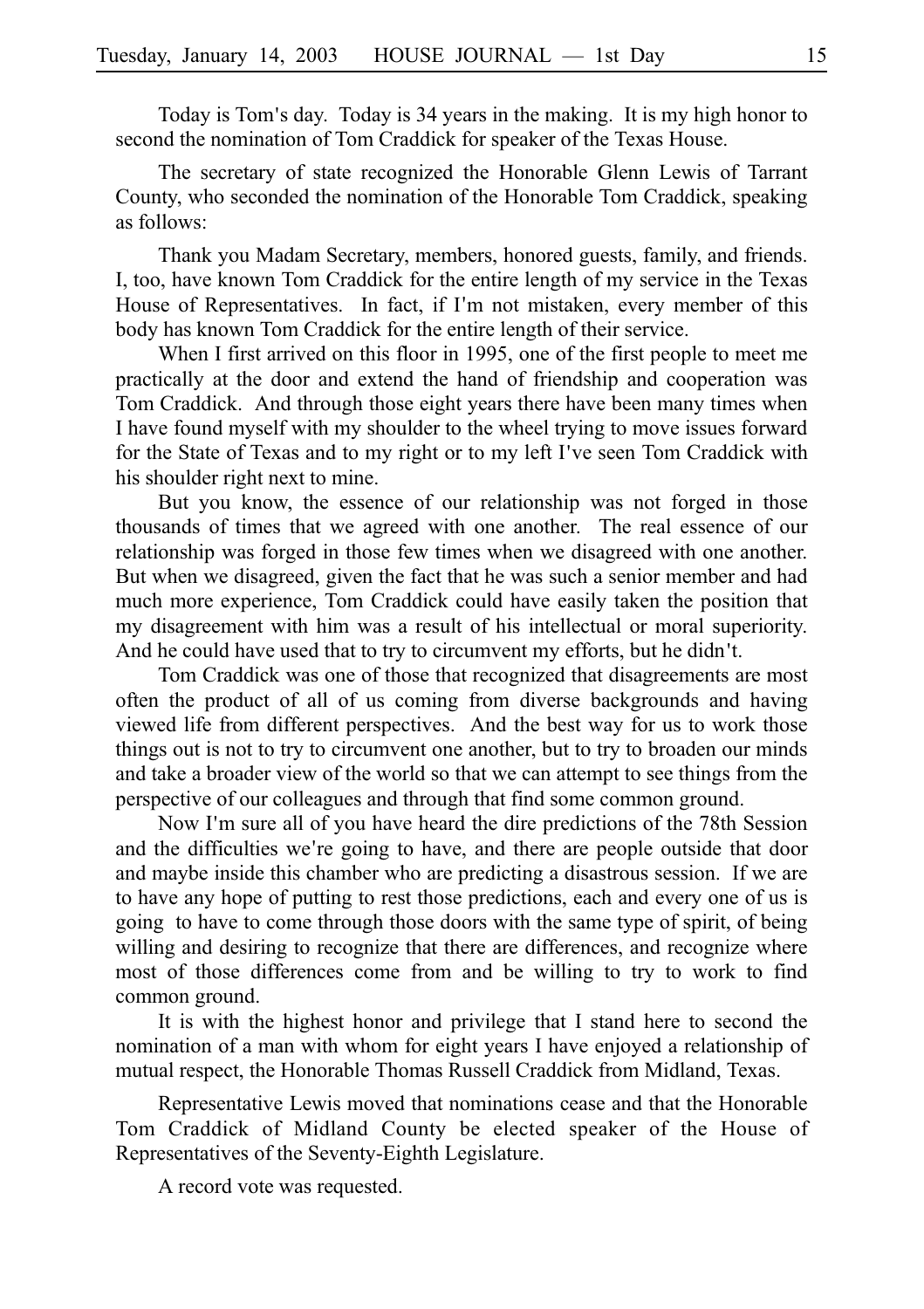Today is Tom's day. Today is 34 years in the making. It is my high honor to second the nomination of Tom Craddick for speaker of the Texas House.

The secretary of state recognized the Honorable Glenn Lewis of Tarrant County, who seconded the nomination of the Honorable Tom Craddick, speaking as follows:

Thank you Madam Secretary, members, honored guests, family, and friends. I, too, have known Tom Craddick for the entire length of my service in the Texas House of Representatives. In fact, if I'm not mistaken, every member of this body has known Tom Craddick for the entire length of their service.

When I first arrived on this floor in 1995, one of the first people to meet me practically at the door and extend the hand of friendship and cooperation was Tom Craddick. And through those eight years there have been many times when I have found myself with my shoulder to the wheel trying to move issues forward for the State of Texas and to my right or to my left I ve seen Tom Craddick with ' his shoulder right next to mine.

But you know, the essence of our relationship was not forged in those thousands of times that we agreed with one another. The real essence of our relationship was forged in those few times when we disagreed with one another. But when we disagreed, given the fact that he was such a senior member and had much more experience, Tom Craddick could have easily taken the position that my disagreement with him was a result of his intellectual or moral superiority. And he could have used that to try to circumvent my efforts, but he didn't.

Tom Craddick was one of those that recognized that disagreements are most often the product of all of us coming from diverse backgrounds and having viewed life from different perspectives. And the best way for us to work those things out is not to try to circumvent one another, but to try to broaden our minds and take a broader view of the world so that we can attempt to see things from the perspective of our colleagues and through that find some common ground.

Now I'm sure all of you have heard the dire predictions of the 78th Session and the difficulties we're going to have, and there are people outside that door and maybe inside this chamber who are predicting a disastrous session. If we are to have any hope of putting to rest those predictions, each and every one of us is going to have to come through those doors with the same type of spirit, of being willing and desiring to recognize that there are differences, and recognize where most of those differences come from and be willing to try to work to find common ground.

It is with the highest honor and privilege that I stand here to second the nomination of a man with whom for eight years I have enjoyed a relationship of mutual respect, the Honorable Thomas Russell Craddick from Midland, Texas.

Representative Lewis moved that nominations cease and that the Honorable Tom Craddick of Midland County be elected speaker of the House of Representatives of the Seventy-Eighth Legislature.

A record vote was requested.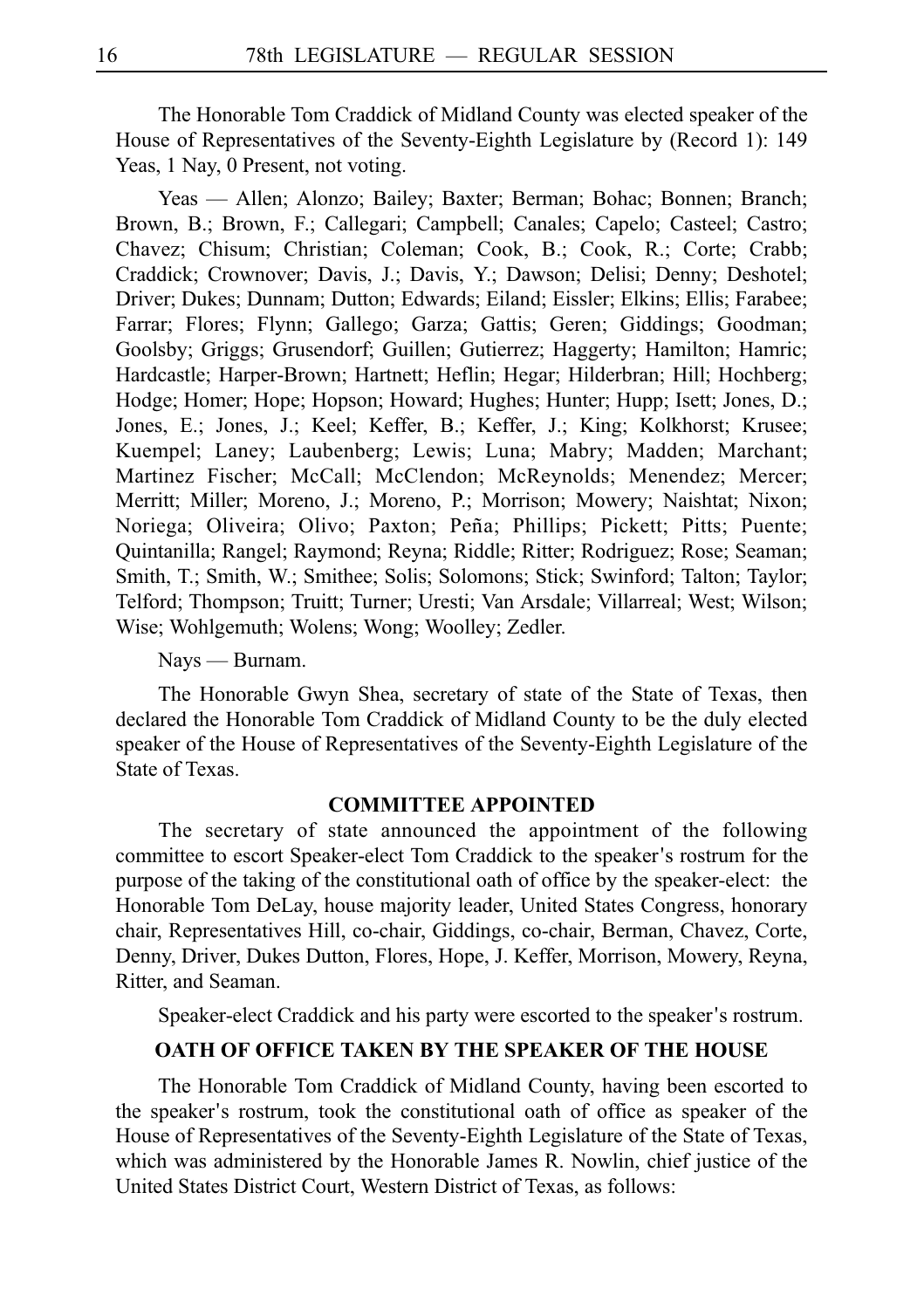The Honorable Tom Craddick of Midland County was elected speaker of the House of Representatives of the Seventy-Eighth Legislature by (Record 1): 149 Yeas, 1 Nay, 0 Present, not voting.

Yeas — Allen; Alonzo; Bailey; Baxter; Berman; Bohac; Bonnen; Branch; Brown, B.; Brown, F.; Callegari; Campbell; Canales; Capelo; Casteel; Castro; Chavez; Chisum; Christian; Coleman; Cook, B.; Cook, R.; Corte; Crabb; Craddick; Crownover; Davis, J.; Davis, Y.; Dawson; Delisi; Denny; Deshotel; Driver; Dukes; Dunnam; Dutton; Edwards; Eiland; Eissler; Elkins; Ellis; Farabee; Farrar; Flores; Flynn; Gallego; Garza; Gattis; Geren; Giddings; Goodman; Goolsby; Griggs; Grusendorf; Guillen; Gutierrez; Haggerty; Hamilton; Hamric; Hardcastle; Harper-Brown; Hartnett; Heflin; Hegar; Hilderbran; Hill; Hochberg; Hodge; Homer; Hope; Hopson; Howard; Hughes; Hunter; Hupp; Isett; Jones, D.; Jones, E.; Jones, J.; Keel; Keffer, B.; Keffer, J.; King; Kolkhorst; Krusee; Kuempel; Laney; Laubenberg; Lewis; Luna; Mabry; Madden; Marchant; Martinez Fischer; McCall; McClendon; McReynolds; Menendez; Mercer; Merritt; Miller; Moreno, J.; Moreno, P.; Morrison; Mowery; Naishtat; Nixon; Noriega; Oliveira; Olivo; Paxton; Peña; Phillips; Pickett; Pitts; Puente; Quintanilla; Rangel; Raymond; Reyna; Riddle; Ritter; Rodriguez; Rose; Seaman; Smith, T.; Smith, W.; Smithee; Solis; Solomons; Stick; Swinford; Talton; Taylor; Telford; Thompson; Truitt; Turner; Uresti; Van Arsdale; Villarreal; West; Wilson; Wise; Wohlgemuth; Wolens; Wong; Woolley; Zedler.

#### Nays — Burnam.

The Honorable Gwyn Shea, secretary of state of the State of Texas, then declared the Honorable Tom Craddick of Midland County to be the duly elected speaker of the House of Representatives of the Seventy-Eighth Legislature of the State of Texas.

#### **COMMITTEE APPOINTED**

The secretary of state announced the appointment of the following committee to escort Speaker-elect Tom Craddick to the speaker's rostrum for the purpose of the taking of the constitutional oath of office by the speaker-elect: the Honorable Tom DeLay, house majority leader, United States Congress, honorary chair, Representatives Hill, co-chair, Giddings, co-chair, Berman, Chavez, Corte, Denny, Driver, Dukes Dutton, Flores, Hope, J. Keffer, Morrison, Mowery, Reyna, Ritter, and Seaman.

Speaker-elect Craddick and his party were escorted to the speaker's rostrum.

# **OATH OF OFFICE TAKEN BY THE SPEAKER OF THE HOUSE**

The Honorable Tom Craddick of Midland County, having been escorted to the speaker's rostrum, took the constitutional oath of office as speaker of the House of Representatives of the Seventy-Eighth Legislature of the State of Texas, which was administered by the Honorable James R. Nowlin, chief justice of the United States District Court, Western District of Texas, as follows: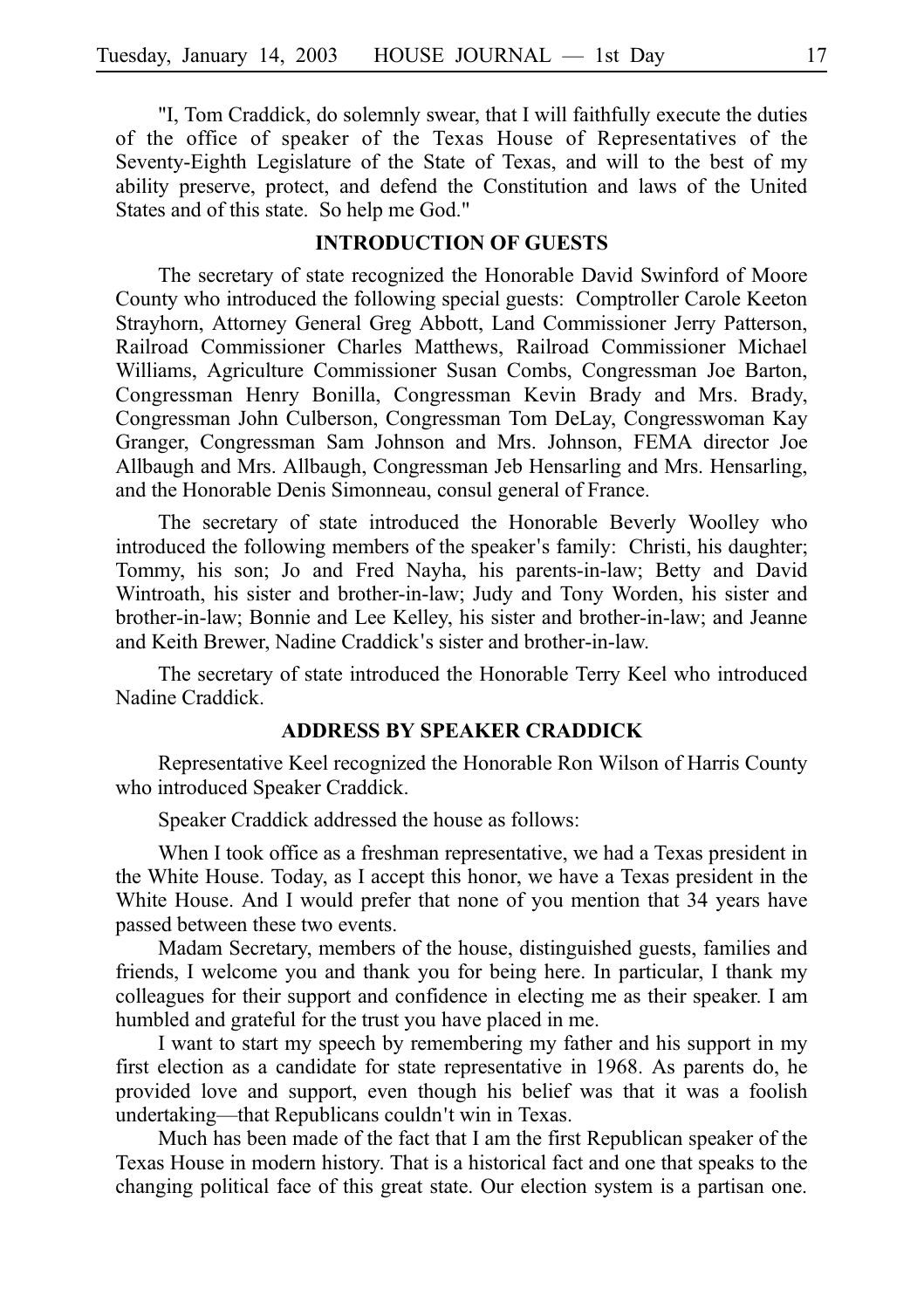"I, Tom Craddick, do solemnly swear, that I will faithfully execute the duties of the office of speaker of the Texas House of Representatives of the Seventy-Eighth Legislature of the State of Texas, and will to the best of my ability preserve, protect, and defend the Constitution and laws of the United States and of this state. So help me God."

# **INTRODUCTION OF GUESTS**

The secretary of state recognized the Honorable David Swinford of Moore County who introduced the following special guests: Comptroller Carole Keeton Strayhorn, Attorney General Greg Abbott, Land Commissioner Jerry Patterson, Railroad Commissioner Charles Matthews, Railroad Commissioner Michael Williams, Agriculture Commissioner Susan Combs, Congressman Joe Barton, Congressman Henry Bonilla, Congressman Kevin Brady and Mrs. Brady, Congressman John Culberson, Congressman Tom DeLay, Congresswoman Kay Granger, Congressman Sam Johnson and Mrs. Johnson, FEMA director Joe Allbaugh and Mrs. Allbaugh, Congressman Jeb Hensarling and Mrs. Hensarling, and the Honorable Denis Simonneau, consul general of France.

The secretary of state introduced the Honorable Beverly Woolley who introduced the following members of the speaker's family: Christi, his daughter; Tommy, his son; Jo and Fred Nayha, his parents-in-law; Betty and David Wintroath, his sister and brother-in-law; Judy and Tony Worden, his sister and brother-in-law; Bonnie and Lee Kelley, his sister and brother-in-law; and Jeanne and Keith Brewer, Nadine Craddick's sister and brother-in-law.

The secretary of state introduced the Honorable Terry Keel who introduced Nadine Craddick.

# **ADDRESS BY SPEAKER CRADDICK**

Representative Keel recognized the Honorable Ron Wilson of Harris County who introduced Speaker Craddick.

Speaker Craddick addressed the house as follows:

When I took office as a freshman representative, we had a Texas president in the White House. Today, as I accept this honor, we have a Texas president in the White House. And I would prefer that none of you mention that 34 years have passed between these two events.

Madam Secretary, members of the house, distinguished guests, families and friends, I welcome you and thank you for being here. In particular, I thank my colleagues for their support and confidence in electing me as their speaker. I am humbled and grateful for the trust you have placed in me.

I want to start my speech by remembering my father and his support in my first election as a candidate for state representative in 1968. As parents do, he provided love and support, even though his belief was that it was a foolish undertaking—that Republicans couldn't win in Texas.

Much has been made of the fact that I am the first Republican speaker of the Texas House in modern history. That is a historical fact and one that speaks to the changing political face of this great state. Our election system is a partisan one.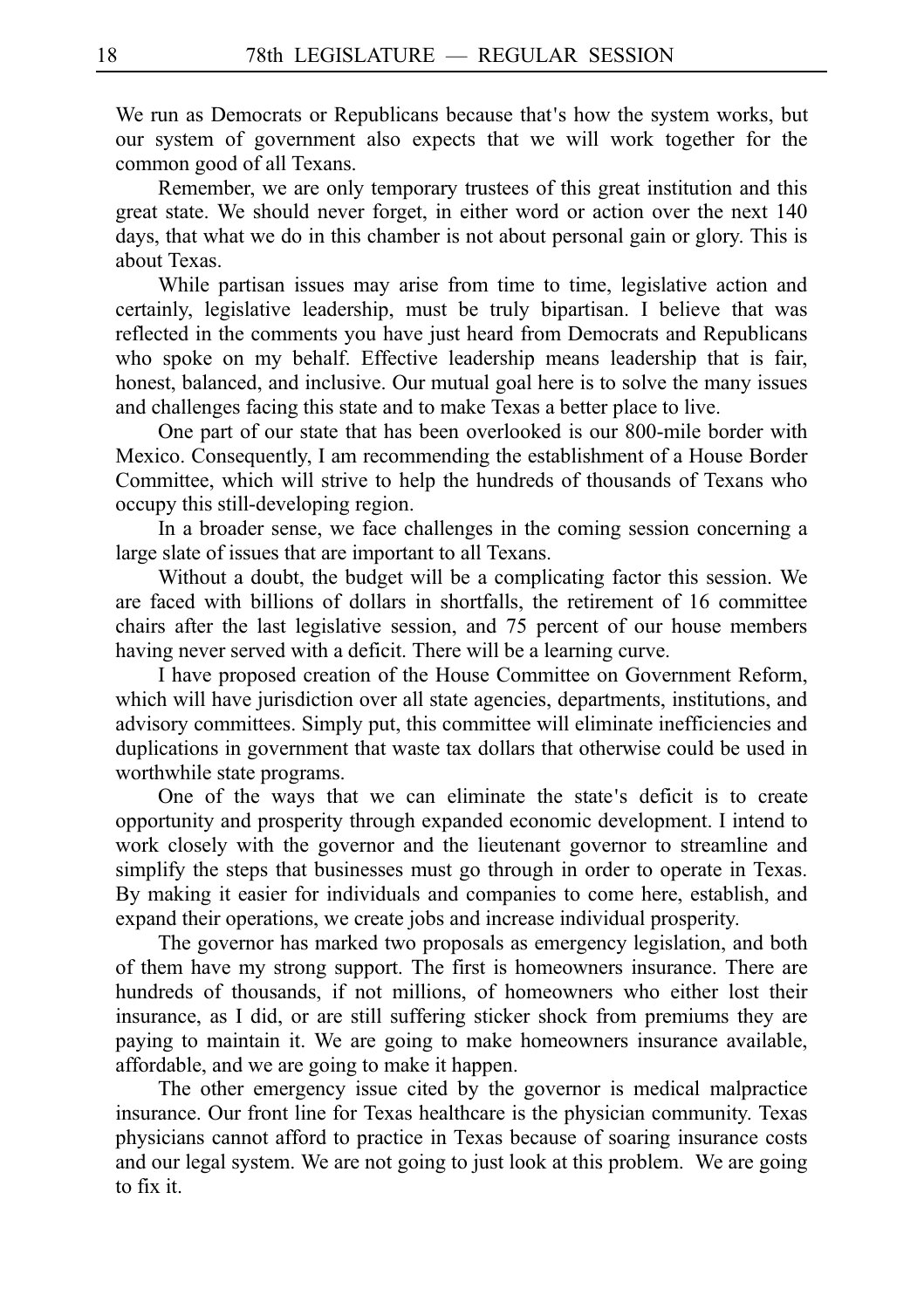We run as Democrats or Republicans because that's how the system works, but our system of government also expects that we will work together for the common good of all Texans.

Remember, we are only temporary trustees of this great institution and this great state. We should never forget, in either word or action over the next 140 days, that what we do in this chamber is not about personal gain or glory. This is about Texas.

While partisan issues may arise from time to time, legislative action and certainly, legislative leadership, must be truly bipartisan. I believe that was reflected in the comments you have just heard from Democrats and Republicans who spoke on my behalf. Effective leadership means leadership that is fair, honest, balanced, and inclusive. Our mutual goal here is to solve the many issues and challenges facing this state and to make Texas a better place to live.

One part of our state that has been overlooked is our 800-mile border with Mexico. Consequently, I am recommending the establishment of a House Border Committee, which will strive to help the hundreds of thousands of Texans who occupy this still-developing region.

In a broader sense, we face challenges in the coming session concerning a large slate of issues that are important to all Texans.

Without a doubt, the budget will be a complicating factor this session. We are faced with billions of dollars in shortfalls, the retirement of 16 committee chairs after the last legislative session, and 75 percent of our house members having never served with a deficit. There will be a learning curve.

I have proposed creation of the House Committee on Government Reform, which will have jurisdiction over all state agencies, departments, institutions, and advisory committees. Simply put, this committee will eliminate inefficiencies and duplications in government that waste tax dollars that otherwise could be used in worthwhile state programs.

One of the ways that we can eliminate the state's deficit is to create opportunity and prosperity through expanded economic development. I intend to work closely with the governor and the lieutenant governor to streamline and simplify the steps that businesses must go through in order to operate in Texas. By making it easier for individuals and companies to come here, establish, and expand their operations, we create jobs and increase individual prosperity.

The governor has marked two proposals as emergency legislation, and both of them have my strong support. The first is homeowners insurance. There are hundreds of thousands, if not millions, of homeowners who either lost their insurance, as I did, or are still suffering sticker shock from premiums they are paying to maintain it. We are going to make homeowners insurance available, affordable, and we are going to make it happen.

The other emergency issue cited by the governor is medical malpractice insurance. Our front line for Texas healthcare is the physician community. Texas physicians cannot afford to practice in Texas because of soaring insurance costs and our legal system. We are not going to just look at this problem. We are going to fix it.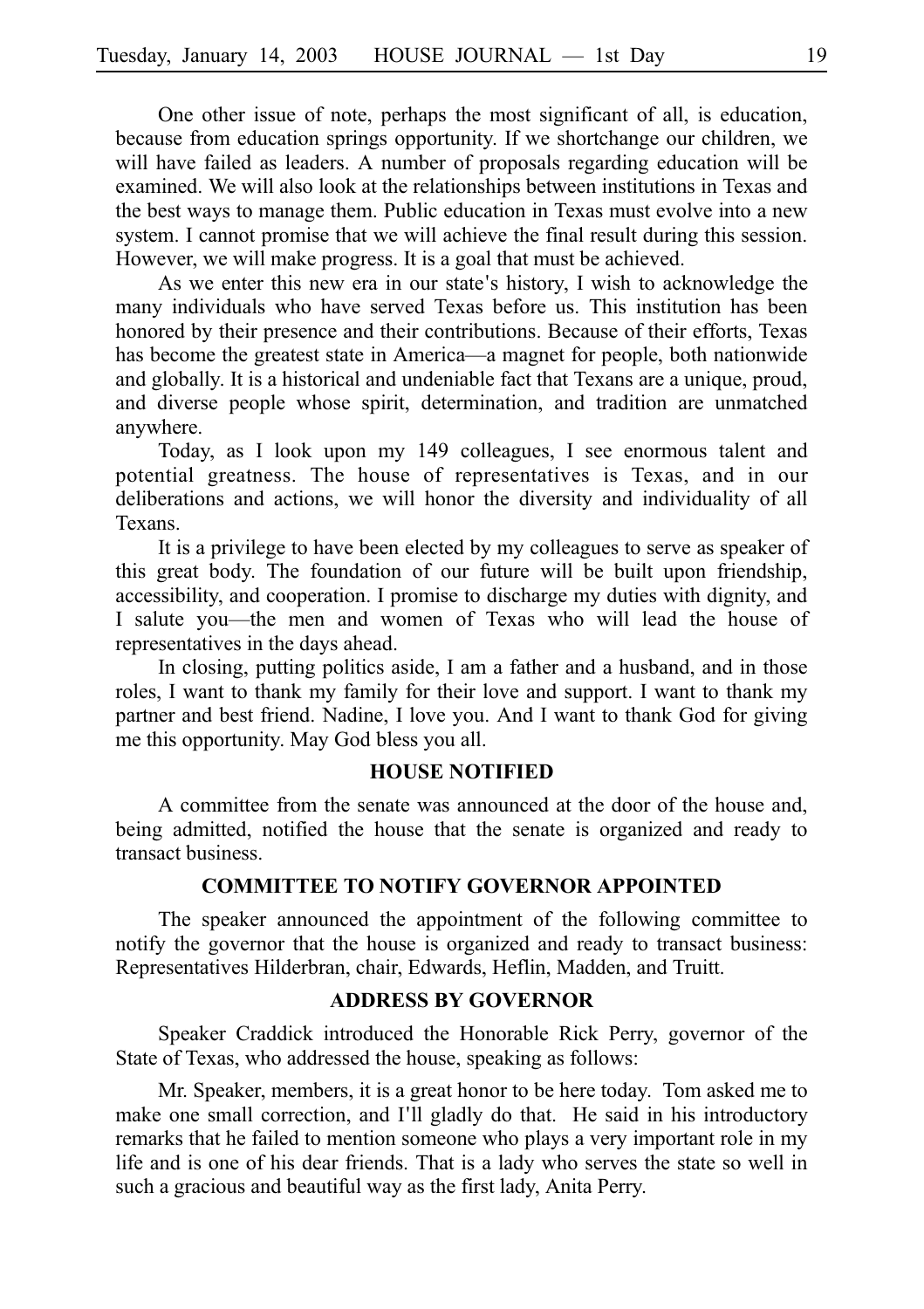One other issue of note, perhaps the most significant of all, is education, because from education springs opportunity. If we shortchange our children, we will have failed as leaders. A number of proposals regarding education will be examined. We will also look at the relationships between institutions in Texas and the best ways to manage them. Public education in Texas must evolve into a new system. I cannot promise that we will achieve the final result during this session. However, we will make progress. It is a goal that must be achieved.

As we enter this new era in our state's history, I wish to acknowledge the many individuals who have served Texas before us. This institution has been honored by their presence and their contributions. Because of their efforts, Texas has become the greatest state in America—a magnet for people, both nationwide and globally. It is a historical and undeniable fact that Texans are a unique, proud, and diverse people whose spirit, determination, and tradition are unmatched anywhere.

Today, as I look upon my 149 colleagues, I see enormous talent and potential greatness. The house of representatives is Texas, and in our deliberations and actions, we will honor the diversity and individuality of all Texans.

It is a privilege to have been elected by my colleagues to serve as speaker of this great body. The foundation of our future will be built upon friendship, accessibility, and cooperation. I promise to discharge my duties with dignity, and I salute you—the men and women of Texas who will lead the house of representatives in the days ahead.

In closing, putting politics aside, I am a father and a husband, and in those roles, I want to thank my family for their love and support. I want to thank my partner and best friend. Nadine, I love you. And I want to thank God for giving me this opportunity. May God bless you all.

#### **HOUSE NOTIFIED**

A committee from the senate was announced at the door of the house and, being admitted, notified the house that the senate is organized and ready to transact business.

#### **COMMITTEE TO NOTIFY GOVERNOR APPOINTED**

The speaker announced the appointment of the following committee to notify the governor that the house is organized and ready to transact business: Representatives Hilderbran, chair, Edwards, Heflin, Madden, and Truitt.

#### **ADDRESS BY GOVERNOR**

Speaker Craddick introduced the Honorable Rick Perry, governor of the State of Texas, who addressed the house, speaking as follows:

Mr. Speaker, members, it is a great honor to be here today. Tom asked me to make one small correction, and I'll gladly do that. He said in his introductory remarks that he failed to mention someone who plays a very important role in my life and is one of his dear friends. That is a lady who serves the state so well in such a gracious and beautiful way as the first lady, Anita Perry.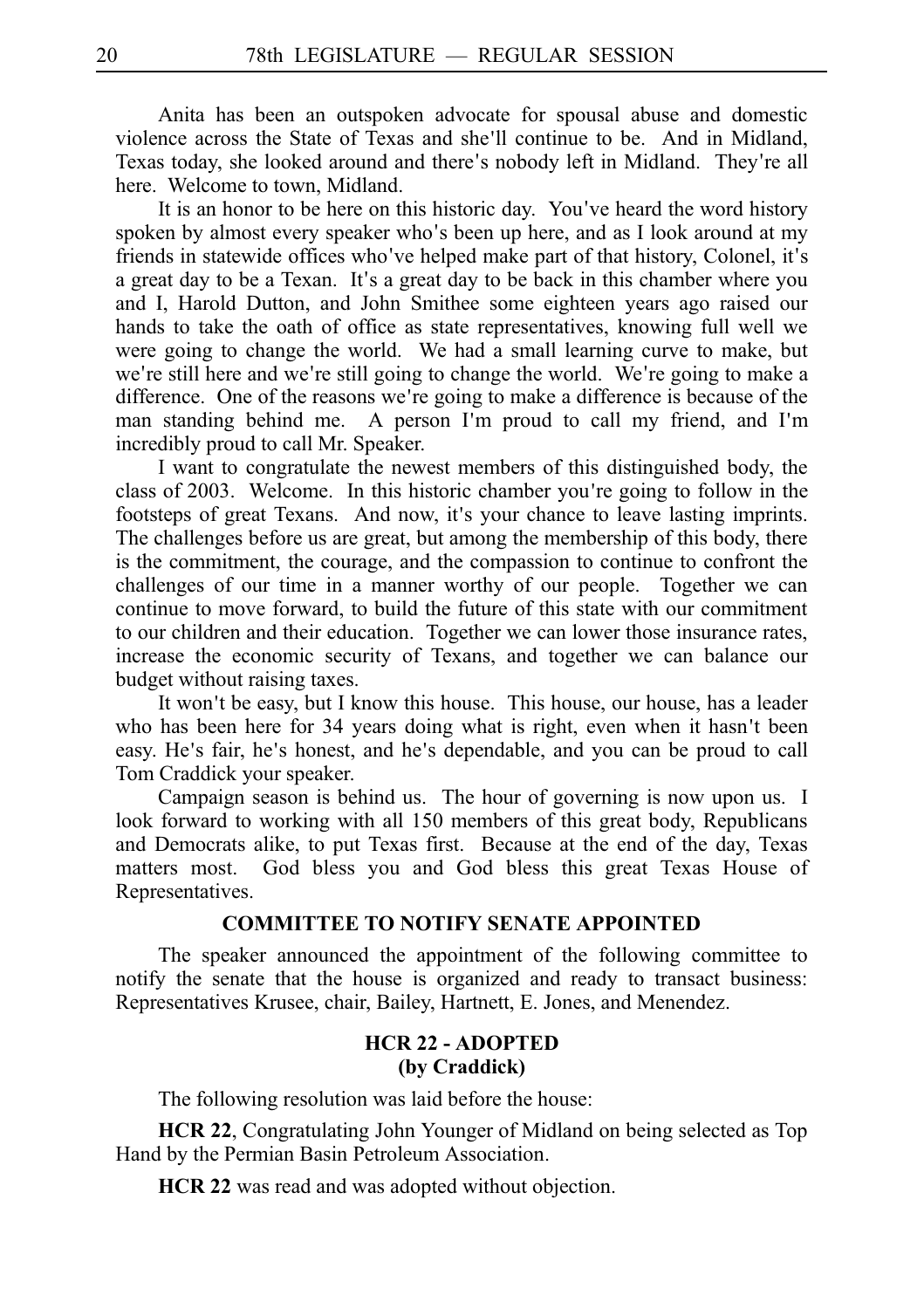Anita has been an outspoken advocate for spousal abuse and domestic violence across the State of Texas and she'll continue to be. And in Midland, Texas today, she looked around and there's nobody left in Midland. They're all here. Welcome to town, Midland.

It is an honor to be here on this historic day. You ve heard the word history ' spoken by almost every speaker who's been up here, and as I look around at my friends in statewide offices who've helped make part of that history, Colonel, it's a great day to be a Texan. It's a great day to be back in this chamber where you and I, Harold Dutton, and John Smithee some eighteen years ago raised our hands to take the oath of office as state representatives, knowing full well we were going to change the world. We had a small learning curve to make, but we're still here and we're still going to change the world. We're going to make a difference. One of the reasons we're going to make a difference is because of the man standing behind me. A person I'm proud to call my friend, and I'm incredibly proud to call Mr. Speaker.

I want to congratulate the newest members of this distinguished body, the class of 2003. Welcome. In this historic chamber you re going to follow in the ' footsteps of great Texans. And now, it's your chance to leave lasting imprints. The challenges before us are great, but among the membership of this body, there is the commitment, the courage, and the compassion to continue to confront the challenges of our time in a manner worthy of our people. Together we can continue to move forward, to build the future of this state with our commitment to our children and their education. Together we can lower those insurance rates, increase the economic security of Texans, and together we can balance our budget without raising taxes.

It won't be easy, but I know this house. This house, our house, has a leader who has been here for 34 years doing what is right, even when it hasn't been easy. He's fair, he's honest, and he's dependable, and you can be proud to call Tom Craddick your speaker.

Campaign season is behind us. The hour of governing is now upon us. I look forward to working with all 150 members of this great body, Republicans and Democrats alike, to put Texas first. Because at the end of the day, Texas matters most. God bless you and God bless this great Texas House of Representatives.

# **COMMITTEE TO NOTIFY SENATE APPOINTED**

The speaker announced the appointment of the following committee to notify the senate that the house is organized and ready to transact business: Representatives Krusee, chair, Bailey, Hartnett, E. Jones, and Menendez.

# **HCR 22 - ADOPTED (by Craddick)**

The following resolution was laid before the house:

**HCR 22**, Congratulating John Younger of Midland on being selected as Top Hand by the Permian Basin Petroleum Association.

**HCR 22** was read and was adopted without objection.